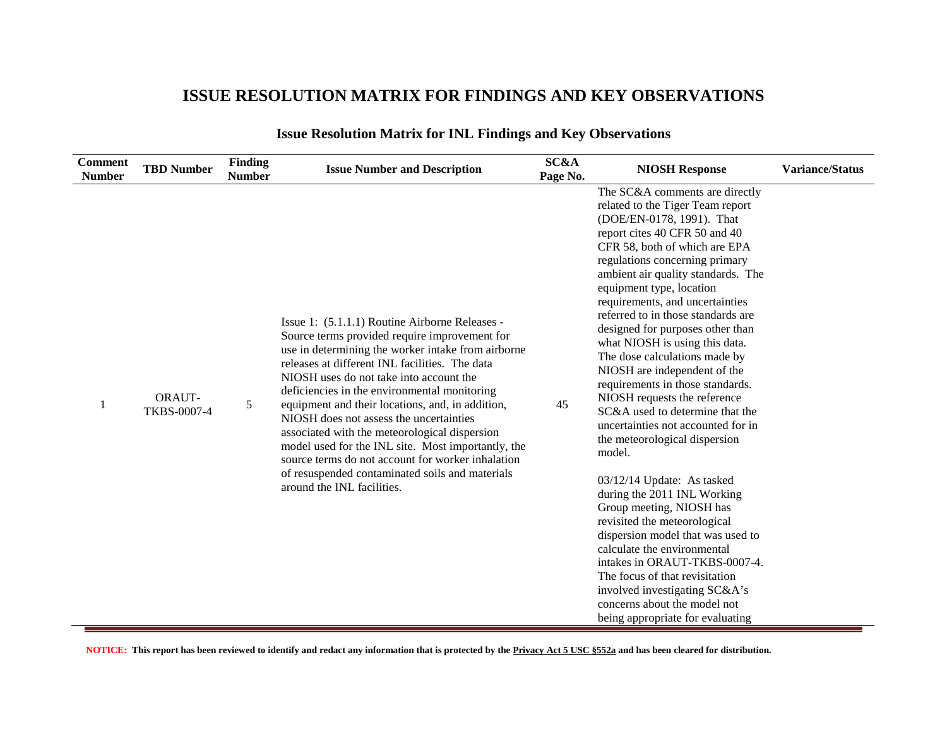### **ISSUE RESOLUTION MATRIX FOR FINDINGS AND KEY OBSERVATIONS**

| <b>Comment</b><br><b>Number</b> | <b>TBD Number</b>            | <b>Finding</b><br><b>Number</b> | <b>Issue Number and Description</b>                                                                                                                                                                                                                                                                                                                                                                                                                                                                                                                                                                                                            | SC&A<br>Page No. | <b>NIOSH Response</b>                                                                                                                                                                                                                                                                                                                                                                                                                                                                                                                                                                                                                                                                                                                                                                                                                                                                                                                                                                                                                              | <b>Variance/Status</b> |
|---------------------------------|------------------------------|---------------------------------|------------------------------------------------------------------------------------------------------------------------------------------------------------------------------------------------------------------------------------------------------------------------------------------------------------------------------------------------------------------------------------------------------------------------------------------------------------------------------------------------------------------------------------------------------------------------------------------------------------------------------------------------|------------------|----------------------------------------------------------------------------------------------------------------------------------------------------------------------------------------------------------------------------------------------------------------------------------------------------------------------------------------------------------------------------------------------------------------------------------------------------------------------------------------------------------------------------------------------------------------------------------------------------------------------------------------------------------------------------------------------------------------------------------------------------------------------------------------------------------------------------------------------------------------------------------------------------------------------------------------------------------------------------------------------------------------------------------------------------|------------------------|
| 1                               | <b>ORAUT-</b><br>TKBS-0007-4 | 5                               | Issue 1: (5.1.1.1) Routine Airborne Releases -<br>Source terms provided require improvement for<br>use in determining the worker intake from airborne<br>releases at different INL facilities. The data<br>NIOSH uses do not take into account the<br>deficiencies in the environmental monitoring<br>equipment and their locations, and, in addition,<br>NIOSH does not assess the uncertainties<br>associated with the meteorological dispersion<br>model used for the INL site. Most importantly, the<br>source terms do not account for worker inhalation<br>of resuspended contaminated soils and materials<br>around the INL facilities. | 45               | The SC&A comments are directly<br>related to the Tiger Team report<br>(DOE/EN-0178, 1991). That<br>report cites 40 CFR 50 and 40<br>CFR 58, both of which are EPA<br>regulations concerning primary<br>ambient air quality standards. The<br>equipment type, location<br>requirements, and uncertainties<br>referred to in those standards are<br>designed for purposes other than<br>what NIOSH is using this data.<br>The dose calculations made by<br>NIOSH are independent of the<br>requirements in those standards.<br>NIOSH requests the reference<br>SC&A used to determine that the<br>uncertainties not accounted for in<br>the meteorological dispersion<br>model.<br>03/12/14 Update: As tasked<br>during the 2011 INL Working<br>Group meeting, NIOSH has<br>revisited the meteorological<br>dispersion model that was used to<br>calculate the environmental<br>intakes in ORAUT-TKBS-0007-4.<br>The focus of that revisitation<br>involved investigating SC&A's<br>concerns about the model not<br>being appropriate for evaluating |                        |

#### **Issue Resolution Matrix for INL Findings and Key Observations**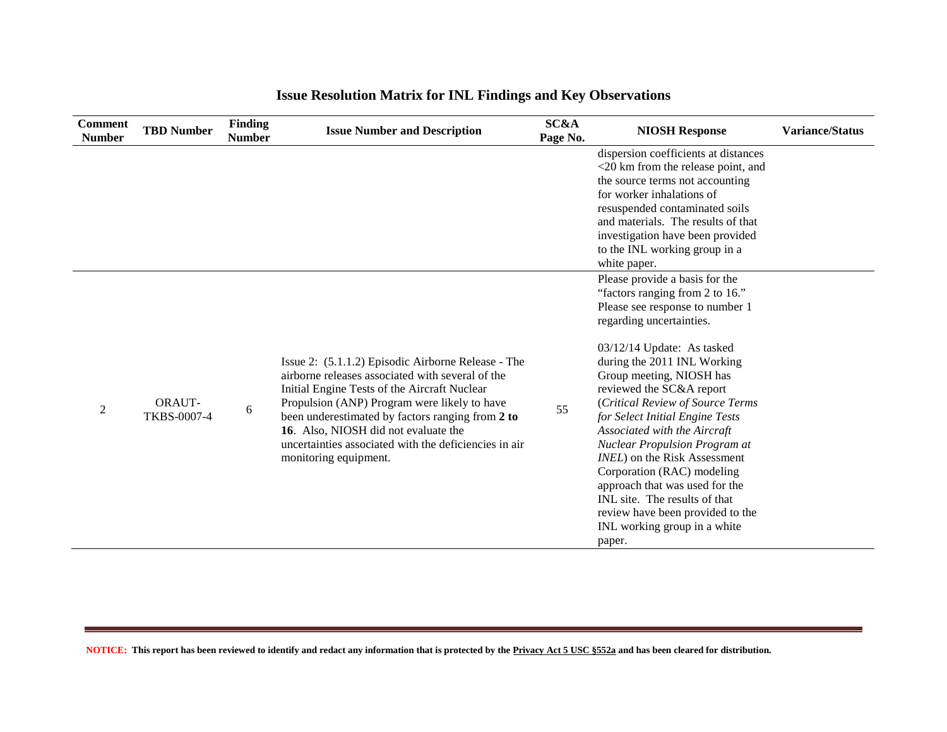| <b>Comment</b><br><b>Number</b> | <b>TBD Number</b>                   | Finding<br><b>Number</b> | <b>Issue Number and Description</b>                                                                                                                                                                                                                                                                                                                                                  | SC&A<br>Page No. | <b>NIOSH Response</b>                                                                                                                                                                                                                                                                                                                                                                                                                                                                                                                                                                                                         | <b>Variance/Status</b> |
|---------------------------------|-------------------------------------|--------------------------|--------------------------------------------------------------------------------------------------------------------------------------------------------------------------------------------------------------------------------------------------------------------------------------------------------------------------------------------------------------------------------------|------------------|-------------------------------------------------------------------------------------------------------------------------------------------------------------------------------------------------------------------------------------------------------------------------------------------------------------------------------------------------------------------------------------------------------------------------------------------------------------------------------------------------------------------------------------------------------------------------------------------------------------------------------|------------------------|
|                                 |                                     |                          |                                                                                                                                                                                                                                                                                                                                                                                      |                  | dispersion coefficients at distances<br><20 km from the release point, and<br>the source terms not accounting<br>for worker inhalations of<br>resuspended contaminated soils<br>and materials. The results of that<br>investigation have been provided<br>to the INL working group in a<br>white paper.                                                                                                                                                                                                                                                                                                                       |                        |
| 2                               | <b>ORAUT-</b><br><b>TKBS-0007-4</b> | 6                        | Issue 2: (5.1.1.2) Episodic Airborne Release - The<br>airborne releases associated with several of the<br>Initial Engine Tests of the Aircraft Nuclear<br>Propulsion (ANP) Program were likely to have<br>been underestimated by factors ranging from 2 to<br>16. Also, NIOSH did not evaluate the<br>uncertainties associated with the deficiencies in air<br>monitoring equipment. | 55               | Please provide a basis for the<br>"factors ranging from 2 to 16."<br>Please see response to number 1<br>regarding uncertainties.<br>$03/12/14$ Update: As tasked<br>during the 2011 INL Working<br>Group meeting, NIOSH has<br>reviewed the SC&A report<br>(Critical Review of Source Terms<br>for Select Initial Engine Tests<br>Associated with the Aircraft<br><b>Nuclear Propulsion Program at</b><br><i>INEL</i> ) on the Risk Assessment<br>Corporation (RAC) modeling<br>approach that was used for the<br>INL site. The results of that<br>review have been provided to the<br>INL working group in a white<br>paper. |                        |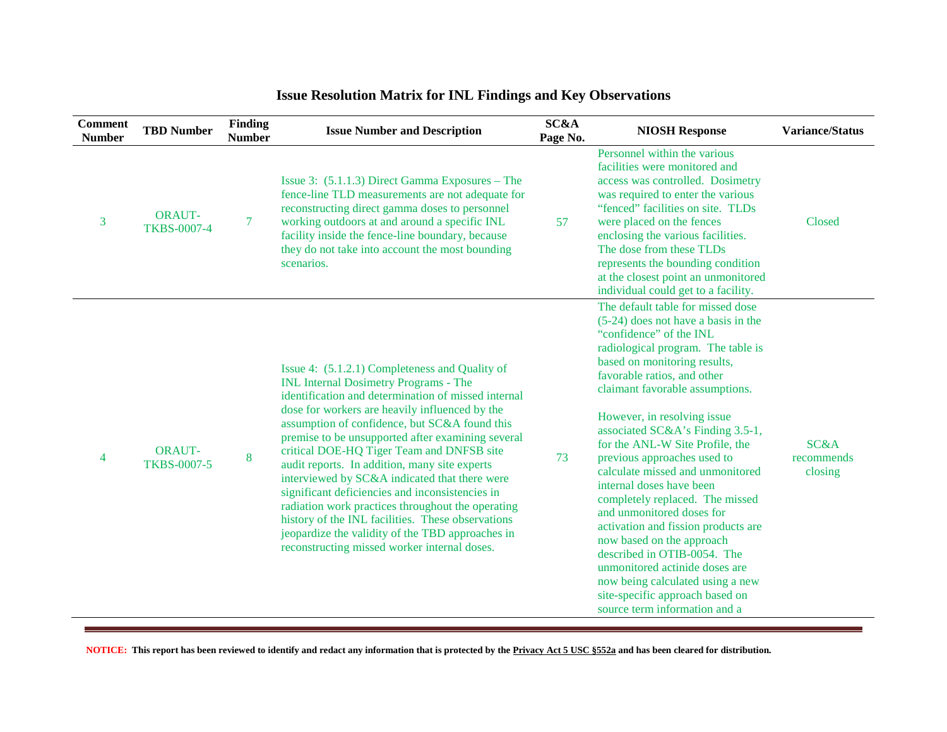| <b>Comment</b><br><b>Number</b> | <b>TBD Number</b>                   | Finding<br><b>Number</b> | <b>Issue Number and Description</b>                                                                                                                                                                                                                                                                                                                                                                                                                                                                                                                                                                                                                                                                                           | SC&A<br>Page No. | <b>NIOSH Response</b>                                                                                                                                                                                                                                                                                                                                                                                                                                                                                                                                                                                                                                                                                                                                           | <b>Variance/Status</b>        |
|---------------------------------|-------------------------------------|--------------------------|-------------------------------------------------------------------------------------------------------------------------------------------------------------------------------------------------------------------------------------------------------------------------------------------------------------------------------------------------------------------------------------------------------------------------------------------------------------------------------------------------------------------------------------------------------------------------------------------------------------------------------------------------------------------------------------------------------------------------------|------------------|-----------------------------------------------------------------------------------------------------------------------------------------------------------------------------------------------------------------------------------------------------------------------------------------------------------------------------------------------------------------------------------------------------------------------------------------------------------------------------------------------------------------------------------------------------------------------------------------------------------------------------------------------------------------------------------------------------------------------------------------------------------------|-------------------------------|
| 3                               | <b>ORAUT-</b><br><b>TKBS-0007-4</b> | $\tau$                   | Issue 3: (5.1.1.3) Direct Gamma Exposures – The<br>fence-line TLD measurements are not adequate for<br>reconstructing direct gamma doses to personnel<br>working outdoors at and around a specific INL<br>facility inside the fence-line boundary, because<br>they do not take into account the most bounding<br>scenarios.                                                                                                                                                                                                                                                                                                                                                                                                   | 57               | Personnel within the various<br>facilities were monitored and<br>access was controlled. Dosimetry<br>was required to enter the various<br>"fenced" facilities on site. TLDs<br>were placed on the fences<br>enclosing the various facilities.<br>The dose from these TLDs<br>represents the bounding condition<br>at the closest point an unmonitored<br>individual could get to a facility.                                                                                                                                                                                                                                                                                                                                                                    | Closed                        |
| $\overline{4}$                  | <b>ORAUT-</b><br><b>TKBS-0007-5</b> | 8                        | Issue 4: (5.1.2.1) Completeness and Quality of<br><b>INL Internal Dosimetry Programs - The</b><br>identification and determination of missed internal<br>dose for workers are heavily influenced by the<br>assumption of confidence, but SC&A found this<br>premise to be unsupported after examining several<br>critical DOE-HQ Tiger Team and DNFSB site<br>audit reports. In addition, many site experts<br>interviewed by SC&A indicated that there were<br>significant deficiencies and inconsistencies in<br>radiation work practices throughout the operating<br>history of the INL facilities. These observations<br>jeopardize the validity of the TBD approaches in<br>reconstructing missed worker internal doses. | 73               | The default table for missed dose<br>$(5-24)$ does not have a basis in the<br>"confidence" of the INL<br>radiological program. The table is<br>based on monitoring results,<br>favorable ratios, and other<br>claimant favorable assumptions.<br>However, in resolving issue<br>associated SC&A's Finding 3.5-1,<br>for the ANL-W Site Profile, the<br>previous approaches used to<br>calculate missed and unmonitored<br>internal doses have been<br>completely replaced. The missed<br>and unmonitored doses for<br>activation and fission products are<br>now based on the approach<br>described in OTIB-0054. The<br>unmonitored actinide doses are<br>now being calculated using a new<br>site-specific approach based on<br>source term information and a | SC&A<br>recommends<br>closing |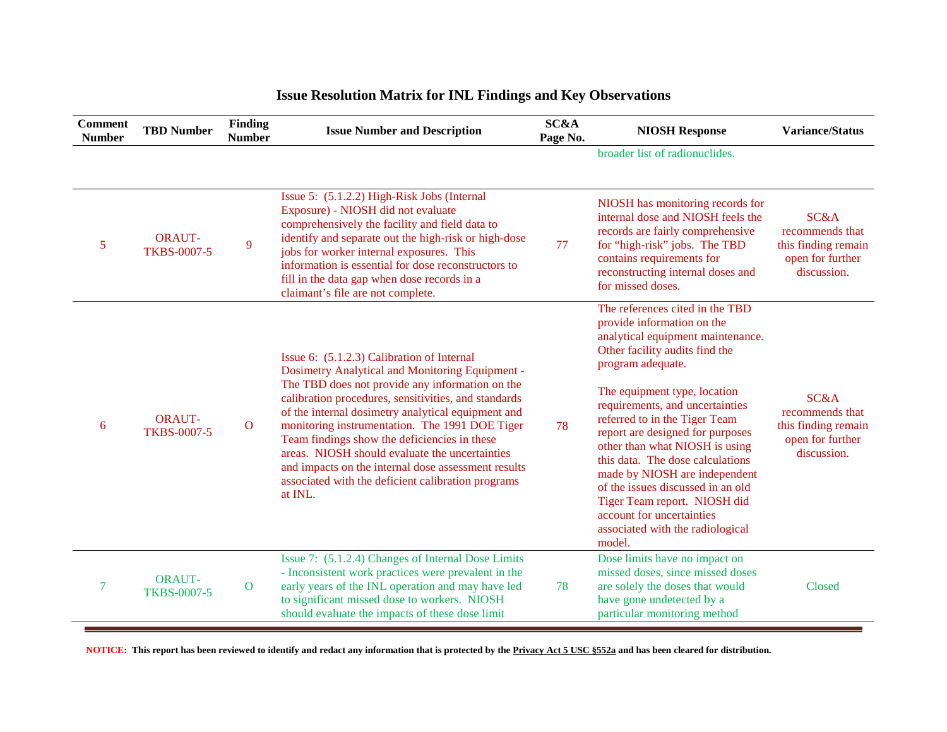| <b>Comment</b><br><b>Number</b> | <b>TBD Number</b>                   | Finding<br><b>Number</b> | <b>Issue Number and Description</b>                                                                                                                                                                                                                                                                                                                                                                                                                                                                                                        | SC&A<br>Page No. | <b>NIOSH Response</b>                                                                                                                                                                                                                                                                                                                                                                                                                                                                                                                                    | <b>Variance/Status</b>                                                            |
|---------------------------------|-------------------------------------|--------------------------|--------------------------------------------------------------------------------------------------------------------------------------------------------------------------------------------------------------------------------------------------------------------------------------------------------------------------------------------------------------------------------------------------------------------------------------------------------------------------------------------------------------------------------------------|------------------|----------------------------------------------------------------------------------------------------------------------------------------------------------------------------------------------------------------------------------------------------------------------------------------------------------------------------------------------------------------------------------------------------------------------------------------------------------------------------------------------------------------------------------------------------------|-----------------------------------------------------------------------------------|
|                                 |                                     |                          |                                                                                                                                                                                                                                                                                                                                                                                                                                                                                                                                            |                  | broader list of radionuclides.                                                                                                                                                                                                                                                                                                                                                                                                                                                                                                                           |                                                                                   |
| 5                               | <b>ORAUT-</b><br><b>TKBS-0007-5</b> | 9                        | Issue 5: (5.1.2.2) High-Risk Jobs (Internal<br>Exposure) - NIOSH did not evaluate<br>comprehensively the facility and field data to<br>identify and separate out the high-risk or high-dose<br>jobs for worker internal exposures. This<br>information is essential for dose reconstructors to<br>fill in the data gap when dose records in a<br>claimant's file are not complete.                                                                                                                                                         | 77               | NIOSH has monitoring records for<br>internal dose and NIOSH feels the<br>records are fairly comprehensive<br>for "high-risk" jobs. The TBD<br>contains requirements for<br>reconstructing internal doses and<br>for missed doses.                                                                                                                                                                                                                                                                                                                        | SC&A<br>recommends that<br>this finding remain<br>open for further<br>discussion. |
| 6                               | <b>ORAUT-</b><br><b>TKBS-0007-5</b> | $\mathbf{O}$             | Issue 6: (5.1.2.3) Calibration of Internal<br>Dosimetry Analytical and Monitoring Equipment -<br>The TBD does not provide any information on the<br>calibration procedures, sensitivities, and standards<br>of the internal dosimetry analytical equipment and<br>monitoring instrumentation. The 1991 DOE Tiger<br>Team findings show the deficiencies in these<br>areas. NIOSH should evaluate the uncertainties<br>and impacts on the internal dose assessment results<br>associated with the deficient calibration programs<br>at INL. | 78               | The references cited in the TBD<br>provide information on the<br>analytical equipment maintenance.<br>Other facility audits find the<br>program adequate.<br>The equipment type, location<br>requirements, and uncertainties<br>referred to in the Tiger Team<br>report are designed for purposes<br>other than what NIOSH is using<br>this data. The dose calculations<br>made by NIOSH are independent<br>of the issues discussed in an old<br>Tiger Team report. NIOSH did<br>account for uncertainties<br>associated with the radiological<br>model. | SC&A<br>recommends that<br>this finding remain<br>open for further<br>discussion. |
| 7                               | <b>ORAUT-</b><br><b>TKBS-0007-5</b> | $\mathbf{O}$             | Issue 7: (5.1.2.4) Changes of Internal Dose Limits<br>- Inconsistent work practices were prevalent in the<br>early years of the INL operation and may have led<br>to significant missed dose to workers. NIOSH<br>should evaluate the impacts of these dose limit                                                                                                                                                                                                                                                                          | 78               | Dose limits have no impact on<br>missed doses, since missed doses<br>are solely the doses that would<br>have gone undetected by a<br>particular monitoring method                                                                                                                                                                                                                                                                                                                                                                                        | Closed                                                                            |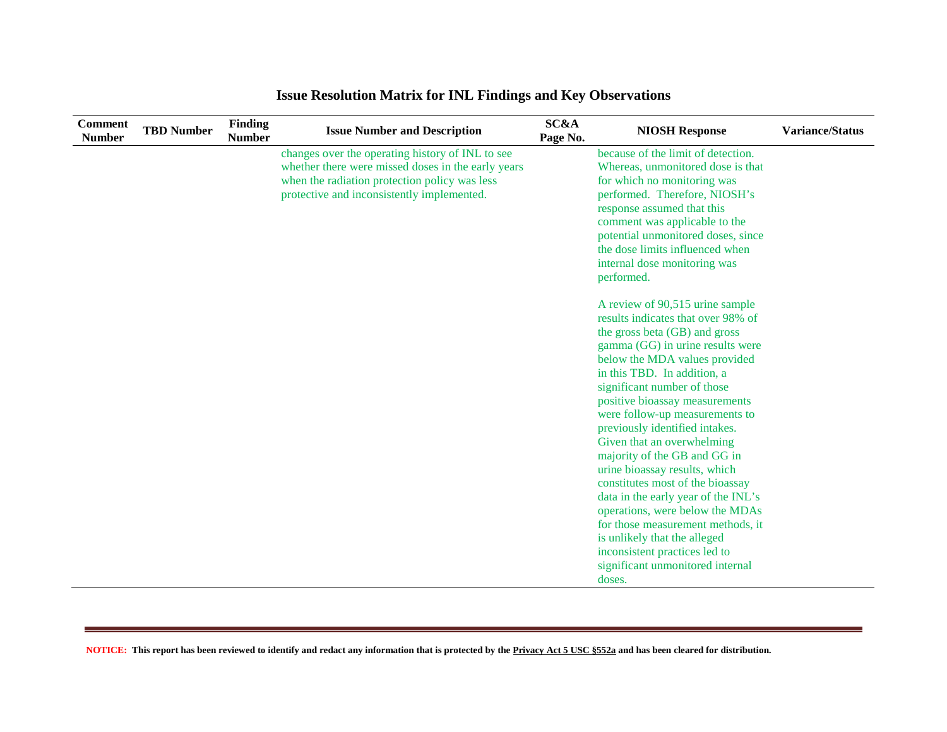| <b>Comment</b><br><b>Number</b> | <b>TBD Number</b> | Finding<br><b>Number</b> | <b>Issue Number and Description</b>                                                                                                                                                                   | Page No. | <b>NIOSH Response</b>                                                                                                                                                                                                                                                                                                                                                                                                                                                                                                                                                                                                                                                                                                                                                                                               | <b>Variance/Status</b> |
|---------------------------------|-------------------|--------------------------|-------------------------------------------------------------------------------------------------------------------------------------------------------------------------------------------------------|----------|---------------------------------------------------------------------------------------------------------------------------------------------------------------------------------------------------------------------------------------------------------------------------------------------------------------------------------------------------------------------------------------------------------------------------------------------------------------------------------------------------------------------------------------------------------------------------------------------------------------------------------------------------------------------------------------------------------------------------------------------------------------------------------------------------------------------|------------------------|
|                                 |                   |                          | changes over the operating history of INL to see<br>whether there were missed doses in the early years<br>when the radiation protection policy was less<br>protective and inconsistently implemented. | SC&A     | because of the limit of detection.<br>Whereas, unmonitored dose is that<br>for which no monitoring was<br>performed. Therefore, NIOSH's<br>response assumed that this<br>comment was applicable to the<br>potential unmonitored doses, since<br>the dose limits influenced when<br>internal dose monitoring was<br>performed.<br>A review of 90,515 urine sample<br>results indicates that over 98% of<br>the gross beta (GB) and gross<br>gamma (GG) in urine results were<br>below the MDA values provided<br>in this TBD. In addition, a<br>significant number of those<br>positive bioassay measurements<br>were follow-up measurements to<br>previously identified intakes.<br>Given that an overwhelming<br>majority of the GB and GG in<br>urine bioassay results, which<br>constitutes most of the bioassay |                        |
|                                 |                   |                          |                                                                                                                                                                                                       |          | data in the early year of the INL's<br>operations, were below the MDAs                                                                                                                                                                                                                                                                                                                                                                                                                                                                                                                                                                                                                                                                                                                                              |                        |
|                                 |                   |                          |                                                                                                                                                                                                       |          | for those measurement methods, it<br>is unlikely that the alleged                                                                                                                                                                                                                                                                                                                                                                                                                                                                                                                                                                                                                                                                                                                                                   |                        |
|                                 |                   |                          |                                                                                                                                                                                                       |          | inconsistent practices led to<br>significant unmonitored internal                                                                                                                                                                                                                                                                                                                                                                                                                                                                                                                                                                                                                                                                                                                                                   |                        |
|                                 |                   |                          |                                                                                                                                                                                                       |          | doses.                                                                                                                                                                                                                                                                                                                                                                                                                                                                                                                                                                                                                                                                                                                                                                                                              |                        |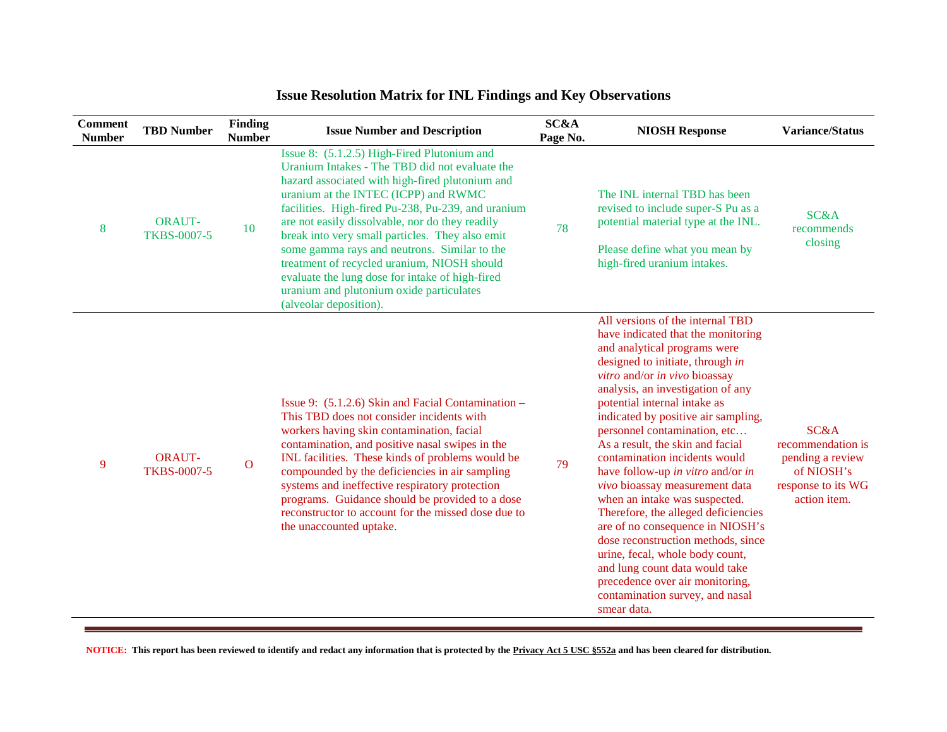| <b>Comment</b><br><b>Number</b> | <b>TBD Number</b>                   | <b>Finding</b><br><b>Number</b> | <b>Issue Number and Description</b>                                                                                                                                                                                                                                                                                                                                                                                                                                                                                                                                          | <b>SC&amp;A</b><br>Page No. | <b>NIOSH Response</b>                                                                                                                                                                                                                                                                                                                                                                                                                                                                                                                                                                                                                                                                                                                                                           | <b>Variance/Status</b>                                                                            |
|---------------------------------|-------------------------------------|---------------------------------|------------------------------------------------------------------------------------------------------------------------------------------------------------------------------------------------------------------------------------------------------------------------------------------------------------------------------------------------------------------------------------------------------------------------------------------------------------------------------------------------------------------------------------------------------------------------------|-----------------------------|---------------------------------------------------------------------------------------------------------------------------------------------------------------------------------------------------------------------------------------------------------------------------------------------------------------------------------------------------------------------------------------------------------------------------------------------------------------------------------------------------------------------------------------------------------------------------------------------------------------------------------------------------------------------------------------------------------------------------------------------------------------------------------|---------------------------------------------------------------------------------------------------|
| 8                               | <b>ORAUT-</b><br><b>TKBS-0007-5</b> | 10                              | Issue 8: (5.1.2.5) High-Fired Plutonium and<br>Uranium Intakes - The TBD did not evaluate the<br>hazard associated with high-fired plutonium and<br>uranium at the INTEC (ICPP) and RWMC<br>facilities. High-fired Pu-238, Pu-239, and uranium<br>are not easily dissolvable, nor do they readily<br>break into very small particles. They also emit<br>some gamma rays and neutrons. Similar to the<br>treatment of recycled uranium, NIOSH should<br>evaluate the lung dose for intake of high-fired<br>uranium and plutonium oxide particulates<br>(alveolar deposition). | 78                          | The INL internal TBD has been<br>revised to include super-S Pu as a<br>potential material type at the INL.<br>Please define what you mean by<br>high-fired uranium intakes.                                                                                                                                                                                                                                                                                                                                                                                                                                                                                                                                                                                                     | <b>SC&amp;A</b><br>recommends<br>closing                                                          |
| 9                               | <b>ORAUT-</b><br><b>TKBS-0007-5</b> | $\mathbf{O}$                    | Issue 9: $(5.1.2.6)$ Skin and Facial Contamination –<br>This TBD does not consider incidents with<br>workers having skin contamination, facial<br>contamination, and positive nasal swipes in the<br>INL facilities. These kinds of problems would be<br>compounded by the deficiencies in air sampling<br>systems and ineffective respiratory protection<br>programs. Guidance should be provided to a dose<br>reconstructor to account for the missed dose due to<br>the unaccounted uptake.                                                                               | 79                          | All versions of the internal TBD<br>have indicated that the monitoring<br>and analytical programs were<br>designed to initiate, through in<br>vitro and/or in vivo bioassay<br>analysis, an investigation of any<br>potential internal intake as<br>indicated by positive air sampling,<br>personnel contamination, etc<br>As a result, the skin and facial<br>contamination incidents would<br>have follow-up in vitro and/or in<br>vivo bioassay measurement data<br>when an intake was suspected.<br>Therefore, the alleged deficiencies<br>are of no consequence in NIOSH's<br>dose reconstruction methods, since<br>urine, fecal, whole body count,<br>and lung count data would take<br>precedence over air monitoring,<br>contamination survey, and nasal<br>smear data. | SC&A<br>recommendation is<br>pending a review<br>of NIOSH's<br>response to its WG<br>action item. |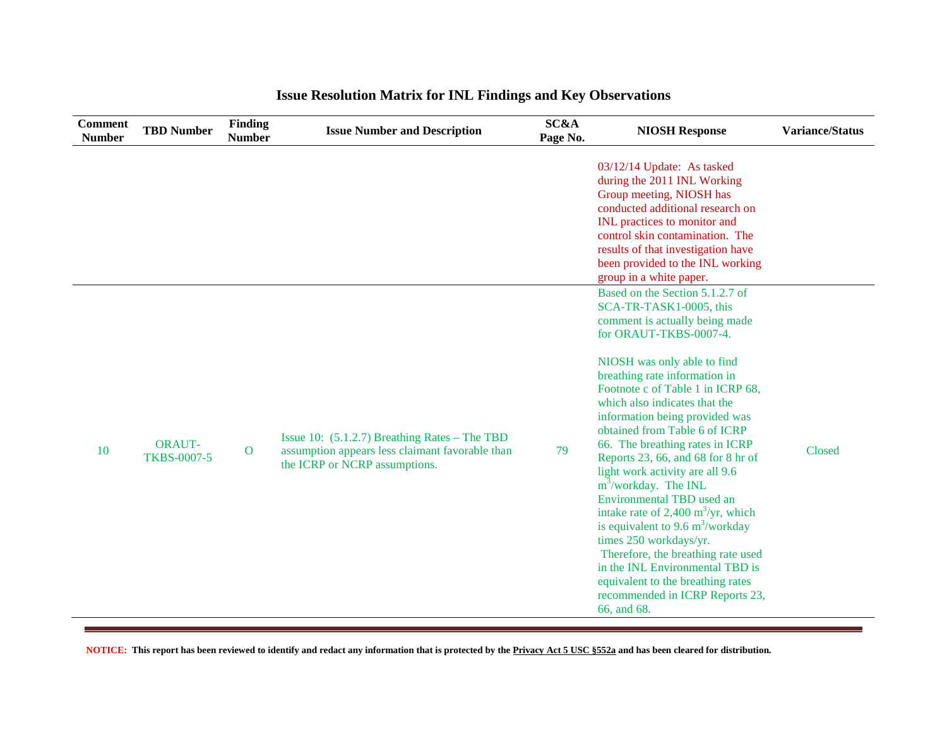| <b>Comment</b><br><b>Number</b> | <b>TBD Number</b>                   | Finding<br><b>Number</b> | <b>Issue Number and Description</b>                                                                                                 | SC&A<br>Page No. | <b>NIOSH Response</b>                                                                                                                                                                                                                                                                                                                                                                                                                                                                                                                                                                                                                                                                                                                                                                             | <b>Variance/Status</b> |
|---------------------------------|-------------------------------------|--------------------------|-------------------------------------------------------------------------------------------------------------------------------------|------------------|---------------------------------------------------------------------------------------------------------------------------------------------------------------------------------------------------------------------------------------------------------------------------------------------------------------------------------------------------------------------------------------------------------------------------------------------------------------------------------------------------------------------------------------------------------------------------------------------------------------------------------------------------------------------------------------------------------------------------------------------------------------------------------------------------|------------------------|
|                                 |                                     |                          |                                                                                                                                     |                  | 03/12/14 Update: As tasked<br>during the 2011 INL Working<br>Group meeting, NIOSH has<br>conducted additional research on<br>INL practices to monitor and<br>control skin contamination. The<br>results of that investigation have<br>been provided to the INL working<br>group in a white paper.                                                                                                                                                                                                                                                                                                                                                                                                                                                                                                 |                        |
| <b>10</b>                       | <b>ORAUT-</b><br><b>TKBS-0007-5</b> | $\overline{O}$           | Issue 10: $(5.1.2.7)$ Breathing Rates – The TBD<br>assumption appears less claimant favorable than<br>the ICRP or NCRP assumptions. | 79               | Based on the Section 5.1.2.7 of<br>SCA-TR-TASK1-0005, this<br>comment is actually being made<br>for ORAUT-TKBS-0007-4.<br>NIOSH was only able to find<br>breathing rate information in<br>Footnote c of Table 1 in ICRP 68,<br>which also indicates that the<br>information being provided was<br>obtained from Table 6 of ICRP<br>66. The breathing rates in ICRP<br>Reports 23, 66, and 68 for 8 hr of<br>light work activity are all 9.6<br>$m3/workday$ . The INL<br><b>Environmental TBD</b> used an<br>intake rate of 2,400 $\text{m}^3/\text{yr}$ , which<br>is equivalent to 9.6 $m^3$ /workday<br>times 250 workdays/yr.<br>Therefore, the breathing rate used<br>in the INL Environmental TBD is<br>equivalent to the breathing rates<br>recommended in ICRP Reports 23,<br>66, and 68. | Closed                 |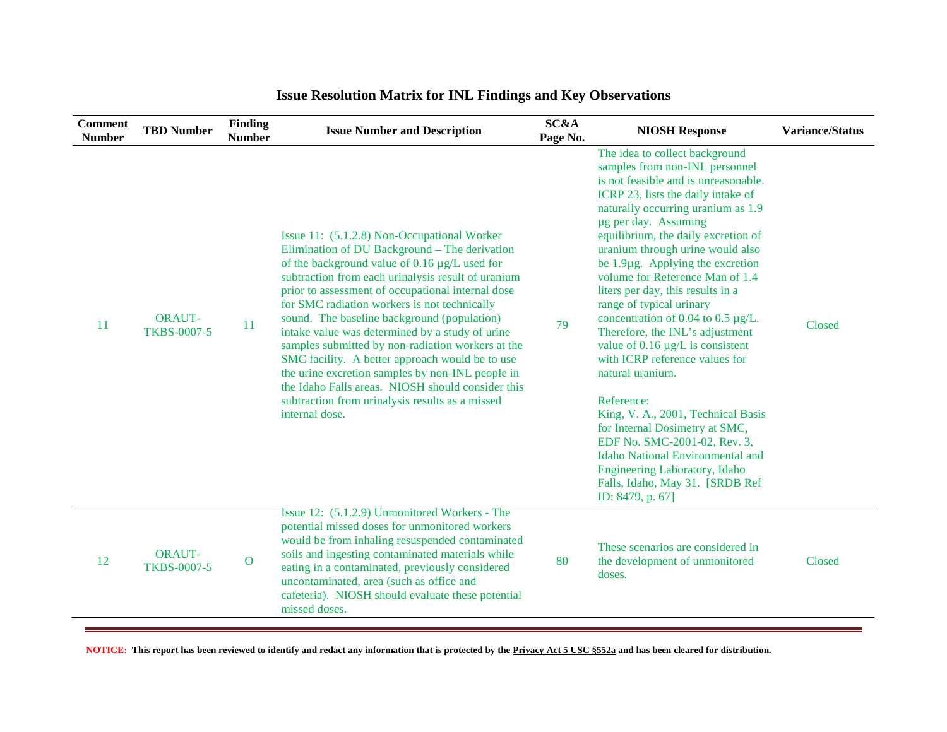| <b>Comment</b><br><b>Number</b> | <b>TBD Number</b>                   | Finding<br><b>Number</b> | <b>Issue Number and Description</b>                                                                                                                                                                                                                                                                                                                                                                                                                                                                                                                                                                                                                                                              | SC&A<br>Page No. | <b>NIOSH Response</b>                                                                                                                                                                                                                                                                                                                                                                                                                                                                                                                                                                                                                                                                                                                                                                                                                                                      | <b>Variance/Status</b> |
|---------------------------------|-------------------------------------|--------------------------|--------------------------------------------------------------------------------------------------------------------------------------------------------------------------------------------------------------------------------------------------------------------------------------------------------------------------------------------------------------------------------------------------------------------------------------------------------------------------------------------------------------------------------------------------------------------------------------------------------------------------------------------------------------------------------------------------|------------------|----------------------------------------------------------------------------------------------------------------------------------------------------------------------------------------------------------------------------------------------------------------------------------------------------------------------------------------------------------------------------------------------------------------------------------------------------------------------------------------------------------------------------------------------------------------------------------------------------------------------------------------------------------------------------------------------------------------------------------------------------------------------------------------------------------------------------------------------------------------------------|------------------------|
| <sup>11</sup>                   | <b>ORAUT-</b><br><b>TKBS-0007-5</b> | 11                       | Issue 11: (5.1.2.8) Non-Occupational Worker<br>Elimination of DU Background - The derivation<br>of the background value of 0.16 µg/L used for<br>subtraction from each urinalysis result of uranium<br>prior to assessment of occupational internal dose<br>for SMC radiation workers is not technically<br>sound. The baseline background (population)<br>intake value was determined by a study of urine<br>samples submitted by non-radiation workers at the<br>SMC facility. A better approach would be to use<br>the urine excretion samples by non-INL people in<br>the Idaho Falls areas. NIOSH should consider this<br>subtraction from urinalysis results as a missed<br>internal dose. | 79               | The idea to collect background<br>samples from non-INL personnel<br>is not feasible and is unreasonable.<br>ICRP 23, lists the daily intake of<br>naturally occurring uranium as 1.9<br>ug per day. Assuming<br>equilibrium, the daily excretion of<br>uranium through urine would also<br>be $1.9\mu$ g. Applying the excretion<br>volume for Reference Man of 1.4<br>liters per day, this results in a<br>range of typical urinary<br>concentration of 0.04 to 0.5 $\mu$ g/L.<br>Therefore, the INL's adjustment<br>value of $0.16 \mu g/L$ is consistent<br>with ICRP reference values for<br>natural uranium.<br>Reference:<br>King, V. A., 2001, Technical Basis<br>for Internal Dosimetry at SMC,<br>EDF No. SMC-2001-02, Rev. 3,<br><b>Idaho National Environmental and</b><br>Engineering Laboratory, Idaho<br>Falls, Idaho, May 31. [SRDB Ref<br>ID: 8479, p. 67] | Closed                 |
| 12                              | <b>ORAUT-</b><br><b>TKBS-0007-5</b> | $\mathbf{O}$             | Issue 12: (5.1.2.9) Unmonitored Workers - The<br>potential missed doses for unmonitored workers<br>would be from inhaling resuspended contaminated<br>soils and ingesting contaminated materials while<br>eating in a contaminated, previously considered<br>uncontaminated, area (such as office and<br>cafeteria). NIOSH should evaluate these potential<br>missed doses.                                                                                                                                                                                                                                                                                                                      | 80               | These scenarios are considered in<br>the development of unmonitored<br>doses.                                                                                                                                                                                                                                                                                                                                                                                                                                                                                                                                                                                                                                                                                                                                                                                              | Closed                 |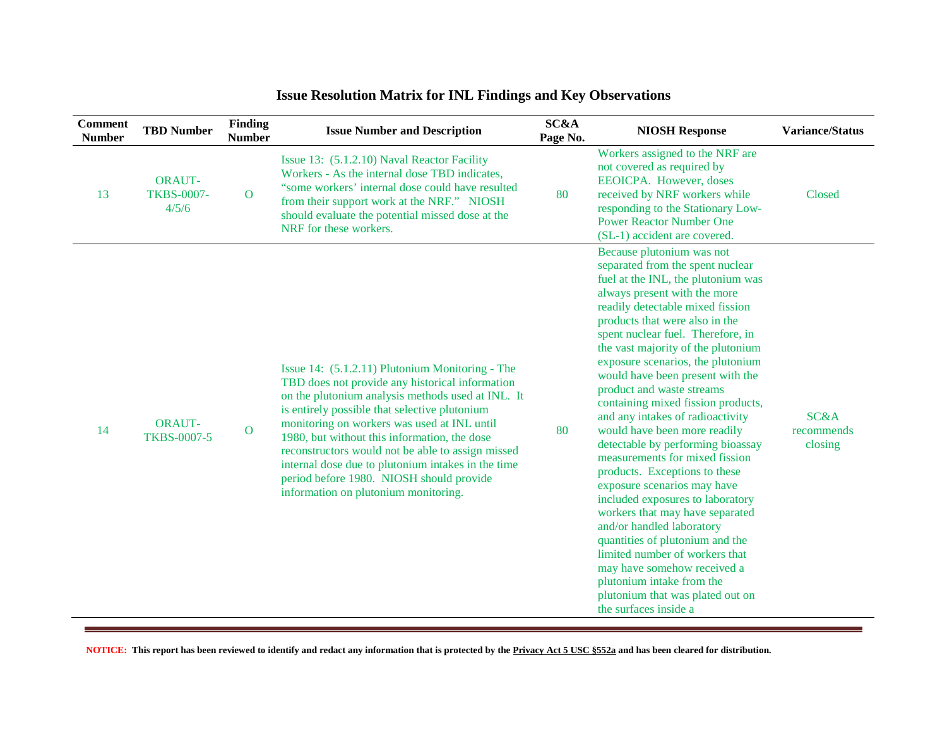| <b>Comment</b><br><b>Number</b> | <b>TBD Number</b>                           | <b>Finding</b><br><b>Number</b> | <b>Issue Number and Description</b>                                                                                                                                                                                                                                                                                                                                                                                                                                                                    | SC&A<br>Page No. | <b>NIOSH Response</b>                                                                                                                                                                                                                                                                                                                                                                                                                                                                                                                                                                                                                                                                                                                                                                                                                                                                                                                         | <b>Variance/Status</b>        |
|---------------------------------|---------------------------------------------|---------------------------------|--------------------------------------------------------------------------------------------------------------------------------------------------------------------------------------------------------------------------------------------------------------------------------------------------------------------------------------------------------------------------------------------------------------------------------------------------------------------------------------------------------|------------------|-----------------------------------------------------------------------------------------------------------------------------------------------------------------------------------------------------------------------------------------------------------------------------------------------------------------------------------------------------------------------------------------------------------------------------------------------------------------------------------------------------------------------------------------------------------------------------------------------------------------------------------------------------------------------------------------------------------------------------------------------------------------------------------------------------------------------------------------------------------------------------------------------------------------------------------------------|-------------------------------|
| 13                              | <b>ORAUT-</b><br><b>TKBS-0007-</b><br>4/5/6 | $\mathbf{O}$                    | Issue 13: (5.1.2.10) Naval Reactor Facility<br>Workers - As the internal dose TBD indicates,<br>"some workers' internal dose could have resulted<br>from their support work at the NRF." NIOSH<br>should evaluate the potential missed dose at the<br>NRF for these workers.                                                                                                                                                                                                                           | 80               | Workers assigned to the NRF are<br>not covered as required by<br>EEOICPA. However, doses<br>received by NRF workers while<br>responding to the Stationary Low-<br><b>Power Reactor Number One</b><br>(SL-1) accident are covered.                                                                                                                                                                                                                                                                                                                                                                                                                                                                                                                                                                                                                                                                                                             | Closed                        |
| 14                              | <b>ORAUT-</b><br><b>TKBS-0007-5</b>         | $\overline{O}$                  | Issue 14: (5.1.2.11) Plutonium Monitoring - The<br>TBD does not provide any historical information<br>on the plutonium analysis methods used at INL. It<br>is entirely possible that selective plutonium<br>monitoring on workers was used at INL until<br>1980, but without this information, the dose<br>reconstructors would not be able to assign missed<br>internal dose due to plutonium intakes in the time<br>period before 1980. NIOSH should provide<br>information on plutonium monitoring. | 80               | Because plutonium was not<br>separated from the spent nuclear<br>fuel at the INL, the plutonium was<br>always present with the more<br>readily detectable mixed fission<br>products that were also in the<br>spent nuclear fuel. Therefore, in<br>the vast majority of the plutonium<br>exposure scenarios, the plutonium<br>would have been present with the<br>product and waste streams<br>containing mixed fission products,<br>and any intakes of radioactivity<br>would have been more readily<br>detectable by performing bioassay<br>measurements for mixed fission<br>products. Exceptions to these<br>exposure scenarios may have<br>included exposures to laboratory<br>workers that may have separated<br>and/or handled laboratory<br>quantities of plutonium and the<br>limited number of workers that<br>may have somehow received a<br>plutonium intake from the<br>plutonium that was plated out on<br>the surfaces inside a | SC&A<br>recommends<br>closing |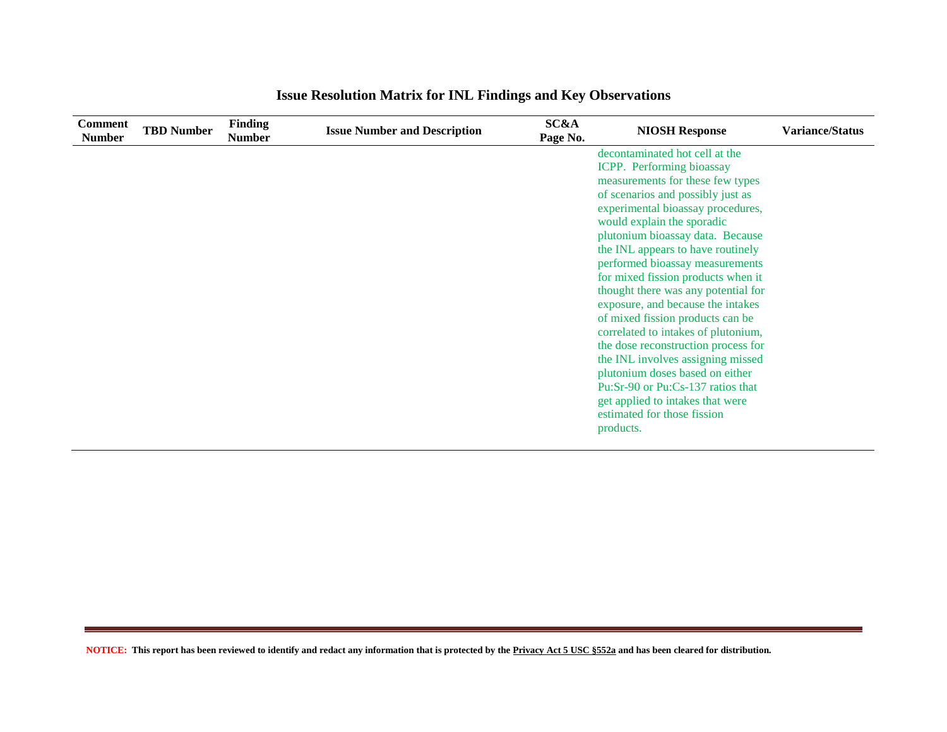| <b>Comment</b><br><b>Number</b> | <b>TBD Number</b> | <b>Finding</b><br><b>Number</b> | <b>Issue Number and Description</b> | SC&A<br>Page No. | <b>NIOSH Response</b>               | <b>Variance/Status</b> |
|---------------------------------|-------------------|---------------------------------|-------------------------------------|------------------|-------------------------------------|------------------------|
|                                 |                   |                                 |                                     |                  | decontaminated hot cell at the      |                        |
|                                 |                   |                                 |                                     |                  | ICPP. Performing bioassay           |                        |
|                                 |                   |                                 |                                     |                  | measurements for these few types    |                        |
|                                 |                   |                                 |                                     |                  | of scenarios and possibly just as   |                        |
|                                 |                   |                                 |                                     |                  | experimental bioassay procedures,   |                        |
|                                 |                   |                                 |                                     |                  | would explain the sporadic          |                        |
|                                 |                   |                                 |                                     |                  | plutonium bioassay data. Because    |                        |
|                                 |                   |                                 |                                     |                  | the INL appears to have routinely   |                        |
|                                 |                   |                                 |                                     |                  | performed bioassay measurements     |                        |
|                                 |                   |                                 |                                     |                  | for mixed fission products when it  |                        |
|                                 |                   |                                 |                                     |                  | thought there was any potential for |                        |
|                                 |                   |                                 |                                     |                  | exposure, and because the intakes   |                        |
|                                 |                   |                                 |                                     |                  | of mixed fission products can be    |                        |
|                                 |                   |                                 |                                     |                  | correlated to intakes of plutonium, |                        |
|                                 |                   |                                 |                                     |                  | the dose reconstruction process for |                        |
|                                 |                   |                                 |                                     |                  | the INL involves assigning missed   |                        |
|                                 |                   |                                 |                                     |                  | plutonium doses based on either     |                        |
|                                 |                   |                                 |                                     |                  | Pu:Sr-90 or Pu:Cs-137 ratios that   |                        |
|                                 |                   |                                 |                                     |                  | get applied to intakes that were    |                        |
|                                 |                   |                                 |                                     |                  | estimated for those fission         |                        |
|                                 |                   |                                 |                                     |                  | products.                           |                        |
|                                 |                   |                                 |                                     |                  |                                     |                        |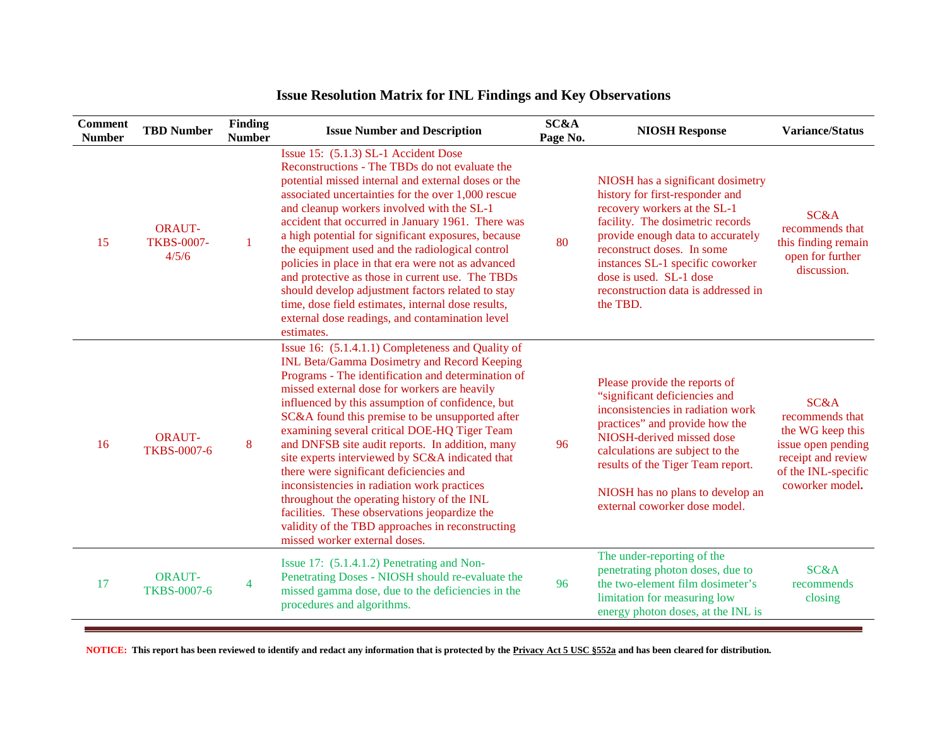| <b>Comment</b><br><b>Number</b> | <b>TBD Number</b>                           | Finding<br><b>Number</b> | <b>Issue Number and Description</b>                                                                                                                                                                                                                                                                                                                                                                                                                                                                                                                                                                                                                                                                                                                       | SC&A<br>Page No. | <b>NIOSH Response</b>                                                                                                                                                                                                                                                                                                         | <b>Variance/Status</b>                                                                                                            |
|---------------------------------|---------------------------------------------|--------------------------|-----------------------------------------------------------------------------------------------------------------------------------------------------------------------------------------------------------------------------------------------------------------------------------------------------------------------------------------------------------------------------------------------------------------------------------------------------------------------------------------------------------------------------------------------------------------------------------------------------------------------------------------------------------------------------------------------------------------------------------------------------------|------------------|-------------------------------------------------------------------------------------------------------------------------------------------------------------------------------------------------------------------------------------------------------------------------------------------------------------------------------|-----------------------------------------------------------------------------------------------------------------------------------|
| 15                              | <b>ORAUT-</b><br><b>TKBS-0007-</b><br>4/5/6 | 1                        | Issue 15: (5.1.3) SL-1 Accident Dose<br>Reconstructions - The TBDs do not evaluate the<br>potential missed internal and external doses or the<br>associated uncertainties for the over 1,000 rescue<br>and cleanup workers involved with the SL-1<br>accident that occurred in January 1961. There was<br>a high potential for significant exposures, because<br>the equipment used and the radiological control<br>policies in place in that era were not as advanced<br>and protective as those in current use. The TBDs<br>should develop adjustment factors related to stay<br>time, dose field estimates, internal dose results,<br>external dose readings, and contamination level<br>estimates.                                                    | 80               | NIOSH has a significant dosimetry<br>history for first-responder and<br>recovery workers at the SL-1<br>facility. The dosimetric records<br>provide enough data to accurately<br>reconstruct doses. In some<br>instances SL-1 specific coworker<br>dose is used. SL-1 dose<br>reconstruction data is addressed in<br>the TBD. | SC&A<br>recommends that<br>this finding remain<br>open for further<br>discussion.                                                 |
| 16                              | <b>ORAUT-</b><br><b>TKBS-0007-6</b>         | 8                        | Issue 16: (5.1.4.1.1) Completeness and Quality of<br><b>INL Beta/Gamma Dosimetry and Record Keeping</b><br>Programs - The identification and determination of<br>missed external dose for workers are heavily<br>influenced by this assumption of confidence, but<br>SC&A found this premise to be unsupported after<br>examining several critical DOE-HQ Tiger Team<br>and DNFSB site audit reports. In addition, many<br>site experts interviewed by SC&A indicated that<br>there were significant deficiencies and<br>inconsistencies in radiation work practices<br>throughout the operating history of the INL<br>facilities. These observations jeopardize the<br>validity of the TBD approaches in reconstructing<br>missed worker external doses. | 96               | Please provide the reports of<br>"significant deficiencies and<br>inconsistencies in radiation work<br>practices" and provide how the<br>NIOSH-derived missed dose<br>calculations are subject to the<br>results of the Tiger Team report.<br>NIOSH has no plans to develop an<br>external coworker dose model.               | SC&A<br>recommends that<br>the WG keep this<br>issue open pending<br>receipt and review<br>of the INL-specific<br>coworker model. |
| 17                              | <b>ORAUT-</b><br><b>TKBS-0007-6</b>         | $\overline{4}$           | Issue 17: (5.1.4.1.2) Penetrating and Non-<br>Penetrating Doses - NIOSH should re-evaluate the<br>missed gamma dose, due to the deficiencies in the<br>procedures and algorithms.                                                                                                                                                                                                                                                                                                                                                                                                                                                                                                                                                                         | 96               | The under-reporting of the<br>penetrating photon doses, due to<br>the two-element film dosimeter's<br>limitation for measuring low<br>energy photon doses, at the INL is                                                                                                                                                      | <b>SC&amp;A</b><br>recommends<br>closing                                                                                          |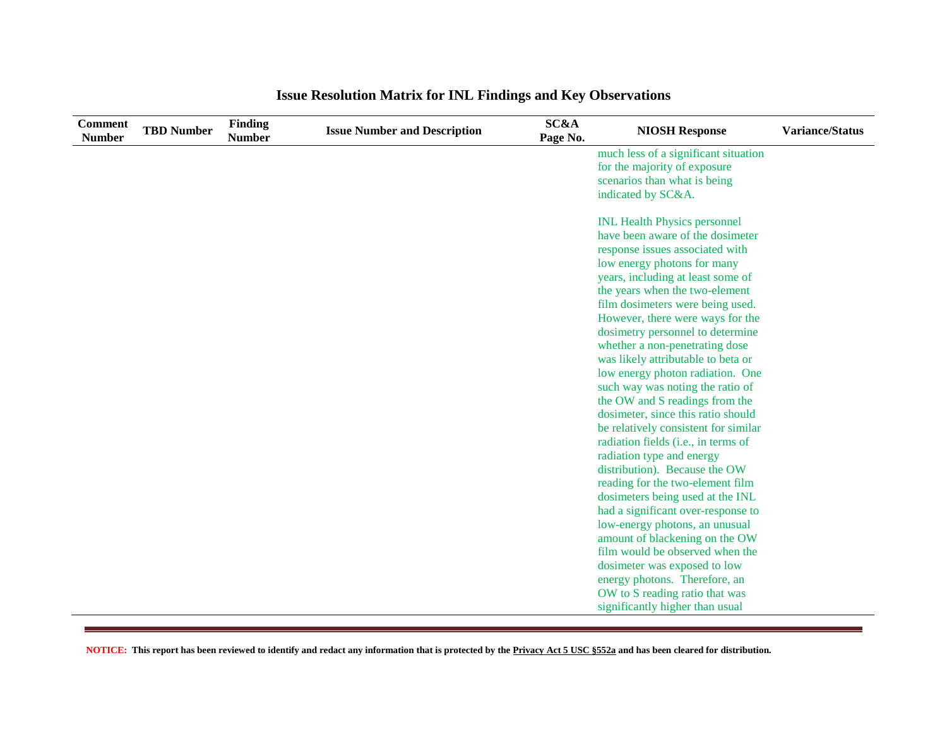| <b>Comment</b><br><b>Number</b> | <b>TBD Number</b> | Finding<br><b>Number</b> | <b>Issue Number and Description</b> | <b>SC&amp;A</b><br>Page No. | <b>NIOSH Response</b>                                                | <b>Variance/Status</b> |
|---------------------------------|-------------------|--------------------------|-------------------------------------|-----------------------------|----------------------------------------------------------------------|------------------------|
|                                 |                   |                          |                                     |                             | much less of a significant situation                                 |                        |
|                                 |                   |                          |                                     |                             | for the majority of exposure                                         |                        |
|                                 |                   |                          |                                     |                             | scenarios than what is being                                         |                        |
|                                 |                   |                          |                                     |                             | indicated by SC&A.                                                   |                        |
|                                 |                   |                          |                                     |                             | <b>INL Health Physics personnel</b>                                  |                        |
|                                 |                   |                          |                                     |                             | have been aware of the dosimeter                                     |                        |
|                                 |                   |                          |                                     |                             | response issues associated with                                      |                        |
|                                 |                   |                          |                                     |                             | low energy photons for many                                          |                        |
|                                 |                   |                          |                                     |                             | years, including at least some of                                    |                        |
|                                 |                   |                          |                                     |                             | the years when the two-element                                       |                        |
|                                 |                   |                          |                                     |                             | film dosimeters were being used.                                     |                        |
|                                 |                   |                          |                                     |                             | However, there were ways for the                                     |                        |
|                                 |                   |                          |                                     |                             | dosimetry personnel to determine                                     |                        |
|                                 |                   |                          |                                     |                             | whether a non-penetrating dose                                       |                        |
|                                 |                   |                          |                                     |                             | was likely attributable to beta or                                   |                        |
|                                 |                   |                          |                                     |                             | low energy photon radiation. One                                     |                        |
|                                 |                   |                          |                                     |                             | such way was noting the ratio of                                     |                        |
|                                 |                   |                          |                                     |                             | the OW and S readings from the                                       |                        |
|                                 |                   |                          |                                     |                             | dosimeter, since this ratio should                                   |                        |
|                                 |                   |                          |                                     |                             | be relatively consistent for similar                                 |                        |
|                                 |                   |                          |                                     |                             | radiation fields (i.e., in terms of                                  |                        |
|                                 |                   |                          |                                     |                             | radiation type and energy                                            |                        |
|                                 |                   |                          |                                     |                             | distribution). Because the OW                                        |                        |
|                                 |                   |                          |                                     |                             | reading for the two-element film                                     |                        |
|                                 |                   |                          |                                     |                             | dosimeters being used at the INL                                     |                        |
|                                 |                   |                          |                                     |                             | had a significant over-response to<br>low-energy photons, an unusual |                        |
|                                 |                   |                          |                                     |                             | amount of blackening on the OW                                       |                        |
|                                 |                   |                          |                                     |                             | film would be observed when the                                      |                        |
|                                 |                   |                          |                                     |                             | dosimeter was exposed to low                                         |                        |
|                                 |                   |                          |                                     |                             | energy photons. Therefore, an                                        |                        |
|                                 |                   |                          |                                     |                             | OW to S reading ratio that was                                       |                        |
|                                 |                   |                          |                                     |                             | significantly higher than usual                                      |                        |
|                                 |                   |                          |                                     |                             |                                                                      |                        |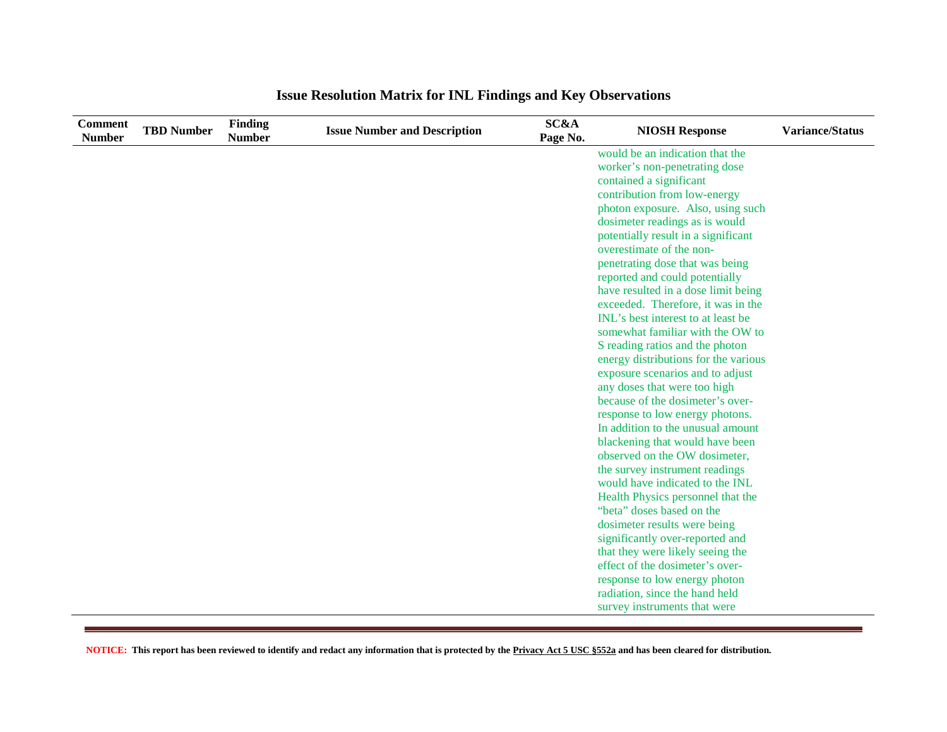| <b>Comment</b><br><b>Number</b> | <b>TBD Number</b> | <b>Finding</b><br><b>Number</b> | <b>Issue Number and Description</b> | <b>SC&amp;A</b><br>Page No. | <b>NIOSH Response</b>                                                 | <b>Variance/Status</b> |
|---------------------------------|-------------------|---------------------------------|-------------------------------------|-----------------------------|-----------------------------------------------------------------------|------------------------|
|                                 |                   |                                 |                                     |                             | would be an indication that the                                       |                        |
|                                 |                   |                                 |                                     |                             | worker's non-penetrating dose                                         |                        |
|                                 |                   |                                 |                                     |                             | contained a significant                                               |                        |
|                                 |                   |                                 |                                     |                             | contribution from low-energy                                          |                        |
|                                 |                   |                                 |                                     |                             | photon exposure. Also, using such                                     |                        |
|                                 |                   |                                 |                                     |                             | dosimeter readings as is would                                        |                        |
|                                 |                   |                                 |                                     |                             | potentially result in a significant                                   |                        |
|                                 |                   |                                 |                                     |                             | overestimate of the non-                                              |                        |
|                                 |                   |                                 |                                     |                             | penetrating dose that was being                                       |                        |
|                                 |                   |                                 |                                     |                             | reported and could potentially<br>have resulted in a dose limit being |                        |
|                                 |                   |                                 |                                     |                             | exceeded. Therefore, it was in the                                    |                        |
|                                 |                   |                                 |                                     |                             | INL's best interest to at least be.                                   |                        |
|                                 |                   |                                 |                                     |                             | somewhat familiar with the OW to                                      |                        |
|                                 |                   |                                 |                                     |                             | S reading ratios and the photon                                       |                        |
|                                 |                   |                                 |                                     |                             | energy distributions for the various                                  |                        |
|                                 |                   |                                 |                                     |                             | exposure scenarios and to adjust                                      |                        |
|                                 |                   |                                 |                                     |                             | any doses that were too high                                          |                        |
|                                 |                   |                                 |                                     |                             | because of the dosimeter's over-                                      |                        |
|                                 |                   |                                 |                                     |                             | response to low energy photons.                                       |                        |
|                                 |                   |                                 |                                     |                             | In addition to the unusual amount                                     |                        |
|                                 |                   |                                 |                                     |                             | blackening that would have been                                       |                        |
|                                 |                   |                                 |                                     |                             | observed on the OW dosimeter,                                         |                        |
|                                 |                   |                                 |                                     |                             | the survey instrument readings                                        |                        |
|                                 |                   |                                 |                                     |                             | would have indicated to the INL                                       |                        |
|                                 |                   |                                 |                                     |                             | Health Physics personnel that the                                     |                        |
|                                 |                   |                                 |                                     |                             | "beta" doses based on the                                             |                        |
|                                 |                   |                                 |                                     |                             | dosimeter results were being                                          |                        |
|                                 |                   |                                 |                                     |                             | significantly over-reported and                                       |                        |
|                                 |                   |                                 |                                     |                             | that they were likely seeing the                                      |                        |
|                                 |                   |                                 |                                     |                             | effect of the dosimeter's over-                                       |                        |
|                                 |                   |                                 |                                     |                             | response to low energy photon<br>radiation, since the hand held       |                        |
|                                 |                   |                                 |                                     |                             | survey instruments that were                                          |                        |
|                                 |                   |                                 |                                     |                             |                                                                       |                        |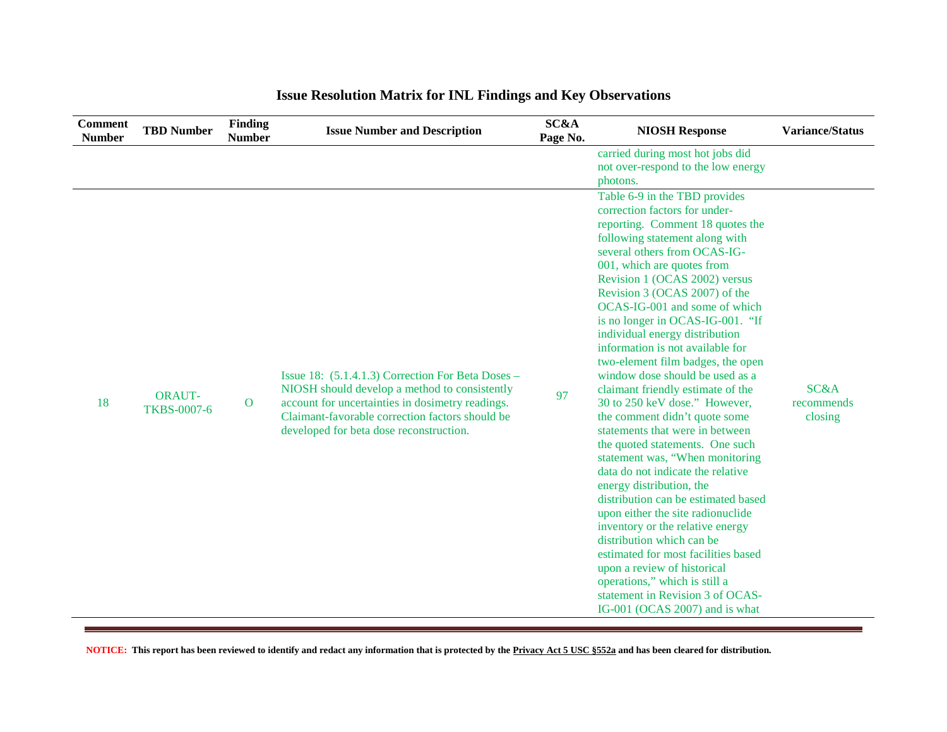| <b>Comment</b><br><b>Number</b> | <b>TBD Number</b>                   | Finding<br><b>Number</b> | <b>Issue Number and Description</b>                                                                                                                                                                                                                  | SC&A<br>Page No. | <b>NIOSH Response</b>                                                                                                                                                                                                                                                                                                                                                                                                                                                                                                                                                                                                                                                                                                                                                                                                                                                                                                                                                                                                                                                                              | <b>Variance/Status</b>                   |
|---------------------------------|-------------------------------------|--------------------------|------------------------------------------------------------------------------------------------------------------------------------------------------------------------------------------------------------------------------------------------------|------------------|----------------------------------------------------------------------------------------------------------------------------------------------------------------------------------------------------------------------------------------------------------------------------------------------------------------------------------------------------------------------------------------------------------------------------------------------------------------------------------------------------------------------------------------------------------------------------------------------------------------------------------------------------------------------------------------------------------------------------------------------------------------------------------------------------------------------------------------------------------------------------------------------------------------------------------------------------------------------------------------------------------------------------------------------------------------------------------------------------|------------------------------------------|
|                                 |                                     |                          |                                                                                                                                                                                                                                                      |                  | carried during most hot jobs did<br>not over-respond to the low energy<br>photons.                                                                                                                                                                                                                                                                                                                                                                                                                                                                                                                                                                                                                                                                                                                                                                                                                                                                                                                                                                                                                 |                                          |
| 18                              | <b>ORAUT-</b><br><b>TKBS-0007-6</b> | $\mathbf{O}$             | Issue 18: (5.1.4.1.3) Correction For Beta Doses –<br>NIOSH should develop a method to consistently<br>account for uncertainties in dosimetry readings.<br>Claimant-favorable correction factors should be<br>developed for beta dose reconstruction. | 97               | Table 6-9 in the TBD provides<br>correction factors for under-<br>reporting. Comment 18 quotes the<br>following statement along with<br>several others from OCAS-IG-<br>001, which are quotes from<br>Revision 1 (OCAS 2002) versus<br>Revision 3 (OCAS 2007) of the<br>OCAS-IG-001 and some of which<br>is no longer in OCAS-IG-001. "If<br>individual energy distribution<br>information is not available for<br>two-element film badges, the open<br>window dose should be used as a<br>claimant friendly estimate of the<br>30 to 250 keV dose." However,<br>the comment didn't quote some<br>statements that were in between<br>the quoted statements. One such<br>statement was, "When monitoring<br>data do not indicate the relative<br>energy distribution, the<br>distribution can be estimated based<br>upon either the site radionuclide<br>inventory or the relative energy<br>distribution which can be<br>estimated for most facilities based<br>upon a review of historical<br>operations," which is still a<br>statement in Revision 3 of OCAS-<br>IG-001 (OCAS 2007) and is what | <b>SC&amp;A</b><br>recommends<br>closing |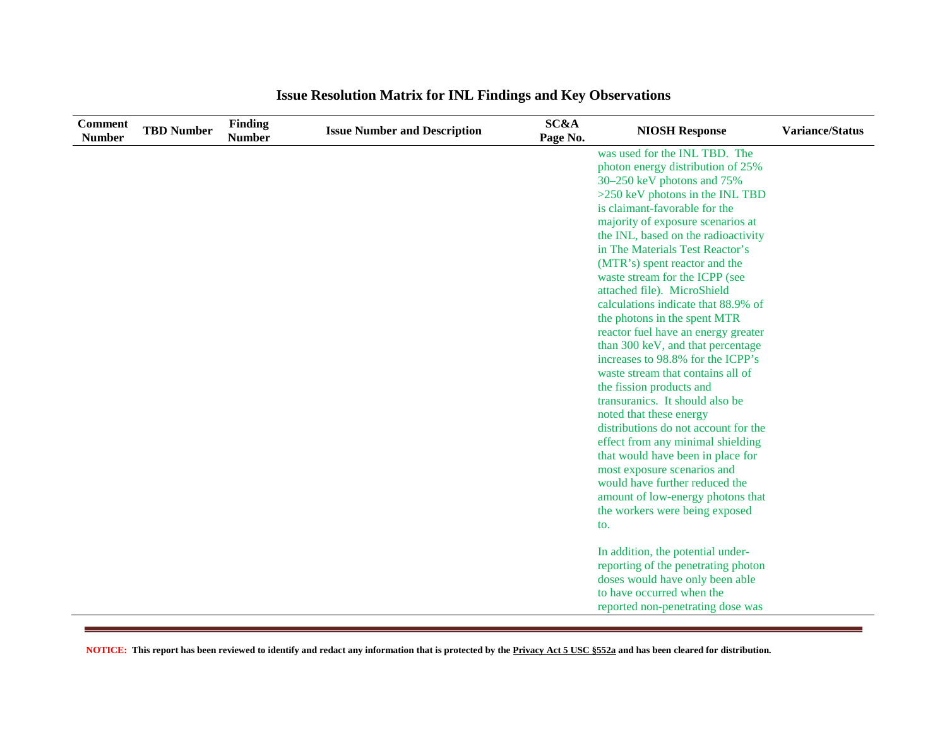| <b>Comment</b><br><b>Number</b> | <b>TBD Number</b> | <b>Finding</b><br><b>Number</b> | <b>Issue Number and Description</b> | <b>SC&amp;A</b><br>Page No. | <b>NIOSH Response</b>                                         | <b>Variance/Status</b> |
|---------------------------------|-------------------|---------------------------------|-------------------------------------|-----------------------------|---------------------------------------------------------------|------------------------|
|                                 |                   |                                 |                                     |                             | was used for the INL TBD. The                                 |                        |
|                                 |                   |                                 |                                     |                             | photon energy distribution of 25%                             |                        |
|                                 |                   |                                 |                                     |                             | 30–250 keV photons and 75%                                    |                        |
|                                 |                   |                                 |                                     |                             | >250 keV photons in the INL TBD                               |                        |
|                                 |                   |                                 |                                     |                             | is claimant-favorable for the                                 |                        |
|                                 |                   |                                 |                                     |                             | majority of exposure scenarios at                             |                        |
|                                 |                   |                                 |                                     |                             | the INL, based on the radioactivity                           |                        |
|                                 |                   |                                 |                                     |                             | in The Materials Test Reactor's                               |                        |
|                                 |                   |                                 |                                     |                             | (MTR's) spent reactor and the                                 |                        |
|                                 |                   |                                 |                                     |                             | waste stream for the ICPP (see                                |                        |
|                                 |                   |                                 |                                     |                             | attached file). MicroShield                                   |                        |
|                                 |                   |                                 |                                     |                             | calculations indicate that 88.9% of                           |                        |
|                                 |                   |                                 |                                     |                             | the photons in the spent MTR                                  |                        |
|                                 |                   |                                 |                                     |                             | reactor fuel have an energy greater                           |                        |
|                                 |                   |                                 |                                     |                             | than 300 keV, and that percentage                             |                        |
|                                 |                   |                                 |                                     |                             | increases to 98.8% for the ICPP's                             |                        |
|                                 |                   |                                 |                                     |                             | waste stream that contains all of                             |                        |
|                                 |                   |                                 |                                     |                             | the fission products and                                      |                        |
|                                 |                   |                                 |                                     |                             | transuranics. It should also be                               |                        |
|                                 |                   |                                 |                                     |                             | noted that these energy                                       |                        |
|                                 |                   |                                 |                                     |                             | distributions do not account for the                          |                        |
|                                 |                   |                                 |                                     |                             | effect from any minimal shielding                             |                        |
|                                 |                   |                                 |                                     |                             | that would have been in place for                             |                        |
|                                 |                   |                                 |                                     |                             | most exposure scenarios and<br>would have further reduced the |                        |
|                                 |                   |                                 |                                     |                             |                                                               |                        |
|                                 |                   |                                 |                                     |                             | amount of low-energy photons that                             |                        |
|                                 |                   |                                 |                                     |                             | the workers were being exposed                                |                        |
|                                 |                   |                                 |                                     |                             | to.                                                           |                        |
|                                 |                   |                                 |                                     |                             | In addition, the potential under-                             |                        |
|                                 |                   |                                 |                                     |                             | reporting of the penetrating photon                           |                        |
|                                 |                   |                                 |                                     |                             | doses would have only been able                               |                        |
|                                 |                   |                                 |                                     |                             | to have occurred when the                                     |                        |
|                                 |                   |                                 |                                     |                             | reported non-penetrating dose was                             |                        |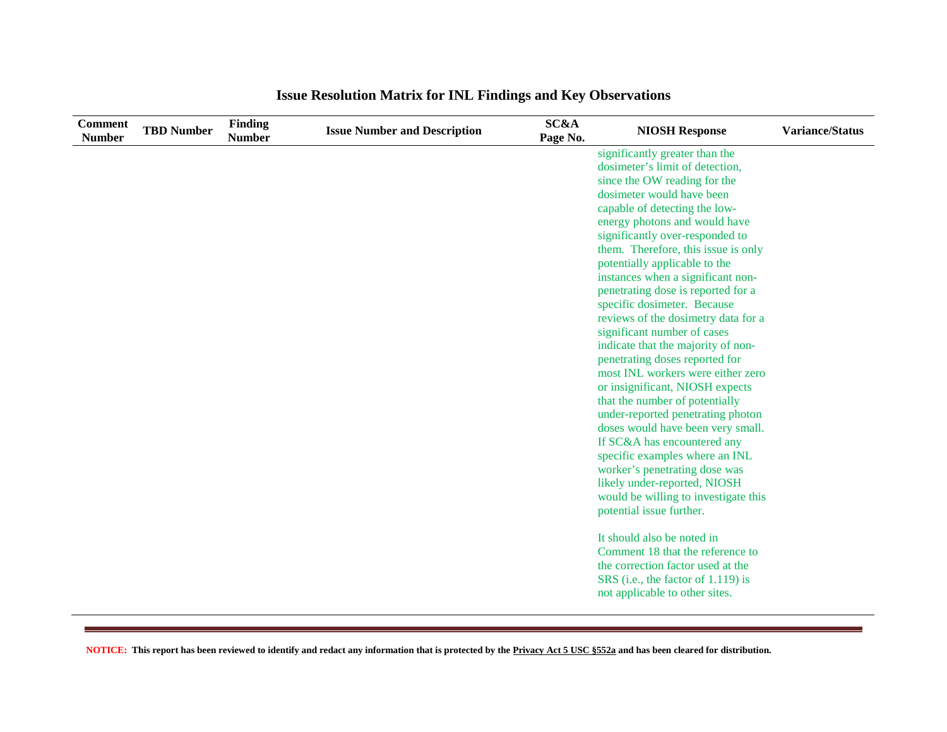| <b>Comment</b><br><b>Number</b> | <b>TBD Number</b> | <b>Finding</b><br><b>Number</b> | <b>Issue Number and Description</b> | <b>SC&amp;A</b><br>Page No. | <b>NIOSH Response</b>                                                | <b>Variance/Status</b> |
|---------------------------------|-------------------|---------------------------------|-------------------------------------|-----------------------------|----------------------------------------------------------------------|------------------------|
|                                 |                   |                                 |                                     |                             | significantly greater than the                                       |                        |
|                                 |                   |                                 |                                     |                             | dosimeter's limit of detection,                                      |                        |
|                                 |                   |                                 |                                     |                             | since the OW reading for the                                         |                        |
|                                 |                   |                                 |                                     |                             | dosimeter would have been                                            |                        |
|                                 |                   |                                 |                                     |                             | capable of detecting the low-                                        |                        |
|                                 |                   |                                 |                                     |                             | energy photons and would have                                        |                        |
|                                 |                   |                                 |                                     |                             | significantly over-responded to                                      |                        |
|                                 |                   |                                 |                                     |                             | them. Therefore, this issue is only                                  |                        |
|                                 |                   |                                 |                                     |                             | potentially applicable to the                                        |                        |
|                                 |                   |                                 |                                     |                             | instances when a significant non-                                    |                        |
|                                 |                   |                                 |                                     |                             | penetrating dose is reported for a                                   |                        |
|                                 |                   |                                 |                                     |                             | specific dosimeter. Because                                          |                        |
|                                 |                   |                                 |                                     |                             | reviews of the dosimetry data for a                                  |                        |
|                                 |                   |                                 |                                     |                             | significant number of cases                                          |                        |
|                                 |                   |                                 |                                     |                             | indicate that the majority of non-                                   |                        |
|                                 |                   |                                 |                                     |                             | penetrating doses reported for                                       |                        |
|                                 |                   |                                 |                                     |                             | most INL workers were either zero                                    |                        |
|                                 |                   |                                 |                                     |                             | or insignificant, NIOSH expects                                      |                        |
|                                 |                   |                                 |                                     |                             | that the number of potentially                                       |                        |
|                                 |                   |                                 |                                     |                             | under-reported penetrating photon                                    |                        |
|                                 |                   |                                 |                                     |                             | doses would have been very small.                                    |                        |
|                                 |                   |                                 |                                     |                             | If SC&A has encountered any                                          |                        |
|                                 |                   |                                 |                                     |                             | specific examples where an INL                                       |                        |
|                                 |                   |                                 |                                     |                             | worker's penetrating dose was                                        |                        |
|                                 |                   |                                 |                                     |                             | likely under-reported, NIOSH<br>would be willing to investigate this |                        |
|                                 |                   |                                 |                                     |                             |                                                                      |                        |
|                                 |                   |                                 |                                     |                             | potential issue further.                                             |                        |
|                                 |                   |                                 |                                     |                             | It should also be noted in                                           |                        |
|                                 |                   |                                 |                                     |                             | Comment 18 that the reference to                                     |                        |
|                                 |                   |                                 |                                     |                             | the correction factor used at the                                    |                        |
|                                 |                   |                                 |                                     |                             | SRS (i.e., the factor of 1.119) is                                   |                        |
|                                 |                   |                                 |                                     |                             | not applicable to other sites.                                       |                        |
|                                 |                   |                                 |                                     |                             |                                                                      |                        |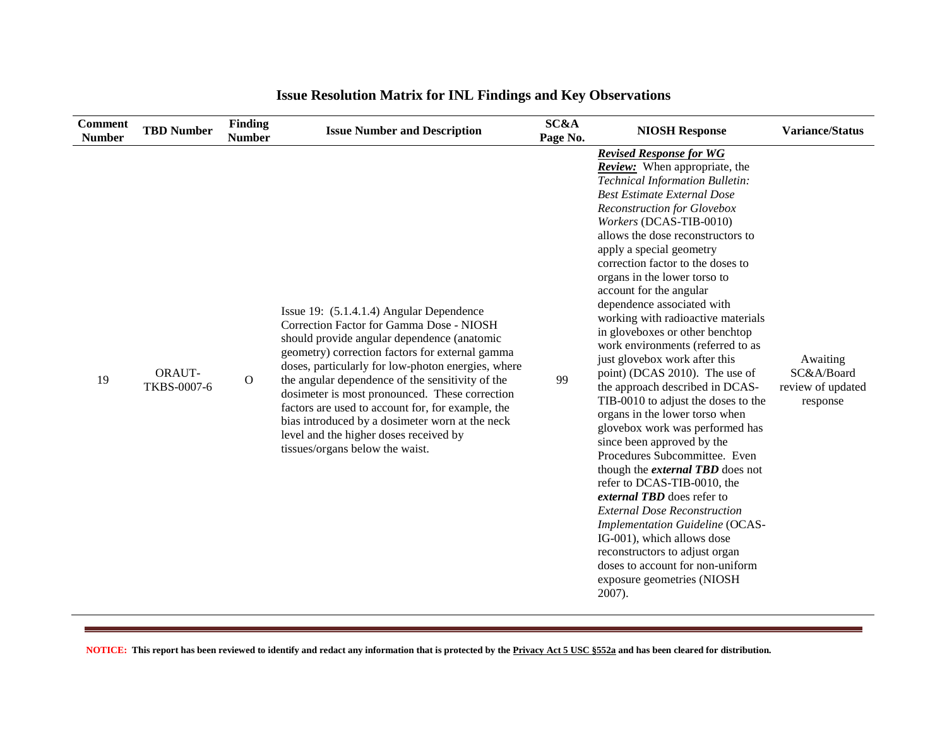| <b>Comment</b><br><b>Number</b> | <b>TBD Number</b>     | <b>Finding</b><br><b>Number</b> | <b>Issue Number and Description</b>                                                                                                                                                                                                                                                                                                                                                                                                                                                                                                     | SC&A<br>Page No. | <b>NIOSH Response</b>                                                                                                                                                                                                                                                                                                                                                                                                                                                                                                                                                                                                                                                                                                                                                                                                                                                                                                                                                                                                                                                                                                                 | <b>Variance/Status</b>                                  |
|---------------------------------|-----------------------|---------------------------------|-----------------------------------------------------------------------------------------------------------------------------------------------------------------------------------------------------------------------------------------------------------------------------------------------------------------------------------------------------------------------------------------------------------------------------------------------------------------------------------------------------------------------------------------|------------------|---------------------------------------------------------------------------------------------------------------------------------------------------------------------------------------------------------------------------------------------------------------------------------------------------------------------------------------------------------------------------------------------------------------------------------------------------------------------------------------------------------------------------------------------------------------------------------------------------------------------------------------------------------------------------------------------------------------------------------------------------------------------------------------------------------------------------------------------------------------------------------------------------------------------------------------------------------------------------------------------------------------------------------------------------------------------------------------------------------------------------------------|---------------------------------------------------------|
| 19                              | ORAUT-<br>TKBS-0007-6 | $\mathbf{O}$                    | Issue 19: (5.1.4.1.4) Angular Dependence<br>Correction Factor for Gamma Dose - NIOSH<br>should provide angular dependence (anatomic<br>geometry) correction factors for external gamma<br>doses, particularly for low-photon energies, where<br>the angular dependence of the sensitivity of the<br>dosimeter is most pronounced. These correction<br>factors are used to account for, for example, the<br>bias introduced by a dosimeter worn at the neck<br>level and the higher doses received by<br>tissues/organs below the waist. | 99               | <b>Revised Response for WG</b><br><b>Review:</b> When appropriate, the<br>Technical Information Bulletin:<br><b>Best Estimate External Dose</b><br>Reconstruction for Glovebox<br>Workers (DCAS-TIB-0010)<br>allows the dose reconstructors to<br>apply a special geometry<br>correction factor to the doses to<br>organs in the lower torso to<br>account for the angular<br>dependence associated with<br>working with radioactive materials<br>in gloveboxes or other benchtop<br>work environments (referred to as<br>just glovebox work after this<br>point) (DCAS 2010). The use of<br>the approach described in DCAS-<br>TIB-0010 to adjust the doses to the<br>organs in the lower torso when<br>glovebox work was performed has<br>since been approved by the<br>Procedures Subcommittee. Even<br>though the external TBD does not<br>refer to DCAS-TIB-0010, the<br>external TBD does refer to<br><b>External Dose Reconstruction</b><br><b>Implementation Guideline (OCAS-</b><br>IG-001), which allows dose<br>reconstructors to adjust organ<br>doses to account for non-uniform<br>exposure geometries (NIOSH<br>2007). | Awaiting<br>SC&A/Board<br>review of updated<br>response |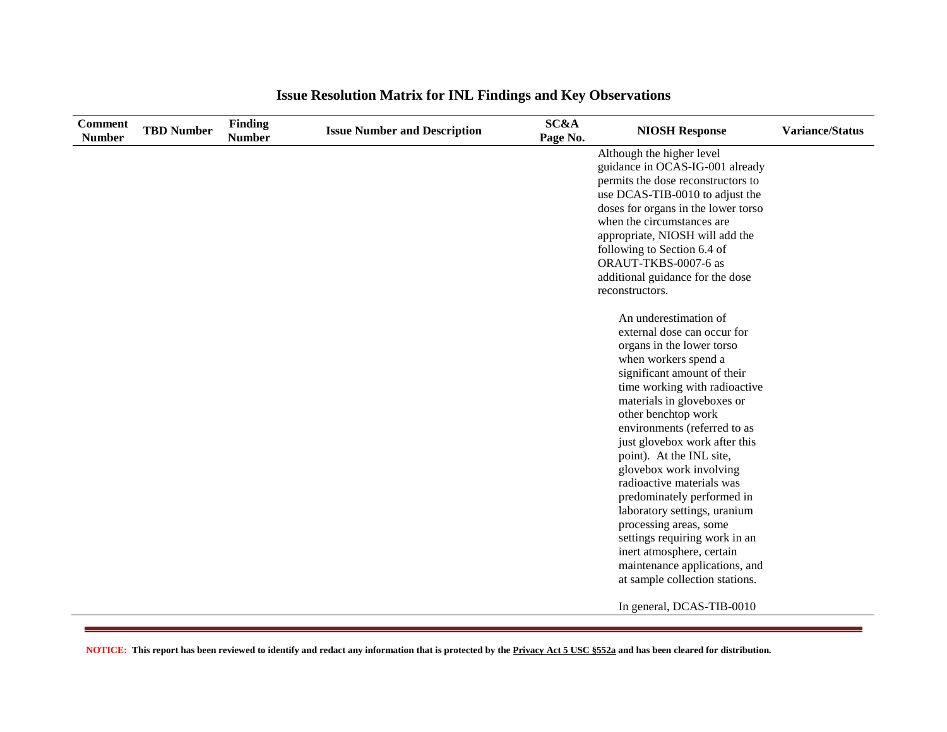| <b>Comment</b><br><b>Number</b> | <b>TBD Number</b> | <b>Finding</b><br><b>Number</b> | <b>Issue Number and Description</b> | <b>SC&amp;A</b><br>Page No. | <b>NIOSH Response</b>                                           | <b>Variance/Status</b> |
|---------------------------------|-------------------|---------------------------------|-------------------------------------|-----------------------------|-----------------------------------------------------------------|------------------------|
|                                 |                   |                                 |                                     |                             | Although the higher level                                       |                        |
|                                 |                   |                                 |                                     |                             | guidance in OCAS-IG-001 already                                 |                        |
|                                 |                   |                                 |                                     |                             | permits the dose reconstructors to                              |                        |
|                                 |                   |                                 |                                     |                             | use DCAS-TIB-0010 to adjust the                                 |                        |
|                                 |                   |                                 |                                     |                             | doses for organs in the lower torso                             |                        |
|                                 |                   |                                 |                                     |                             | when the circumstances are                                      |                        |
|                                 |                   |                                 |                                     |                             | appropriate, NIOSH will add the                                 |                        |
|                                 |                   |                                 |                                     |                             | following to Section 6.4 of                                     |                        |
|                                 |                   |                                 |                                     |                             | ORAUT-TKBS-0007-6 as                                            |                        |
|                                 |                   |                                 |                                     |                             | additional guidance for the dose                                |                        |
|                                 |                   |                                 |                                     |                             | reconstructors.                                                 |                        |
|                                 |                   |                                 |                                     |                             | An underestimation of                                           |                        |
|                                 |                   |                                 |                                     |                             | external dose can occur for                                     |                        |
|                                 |                   |                                 |                                     |                             | organs in the lower torso                                       |                        |
|                                 |                   |                                 |                                     |                             | when workers spend a                                            |                        |
|                                 |                   |                                 |                                     |                             | significant amount of their                                     |                        |
|                                 |                   |                                 |                                     |                             | time working with radioactive                                   |                        |
|                                 |                   |                                 |                                     |                             | materials in gloveboxes or                                      |                        |
|                                 |                   |                                 |                                     |                             | other benchtop work                                             |                        |
|                                 |                   |                                 |                                     |                             | environments (referred to as                                    |                        |
|                                 |                   |                                 |                                     |                             | just glovebox work after this                                   |                        |
|                                 |                   |                                 |                                     |                             | point). At the INL site,                                        |                        |
|                                 |                   |                                 |                                     |                             | glovebox work involving                                         |                        |
|                                 |                   |                                 |                                     |                             | radioactive materials was                                       |                        |
|                                 |                   |                                 |                                     |                             | predominately performed in                                      |                        |
|                                 |                   |                                 |                                     |                             | laboratory settings, uranium                                    |                        |
|                                 |                   |                                 |                                     |                             | processing areas, some                                          |                        |
|                                 |                   |                                 |                                     |                             | settings requiring work in an                                   |                        |
|                                 |                   |                                 |                                     |                             | inert atmosphere, certain                                       |                        |
|                                 |                   |                                 |                                     |                             | maintenance applications, and<br>at sample collection stations. |                        |
|                                 |                   |                                 |                                     |                             |                                                                 |                        |
|                                 |                   |                                 |                                     |                             | In general, DCAS-TIB-0010                                       |                        |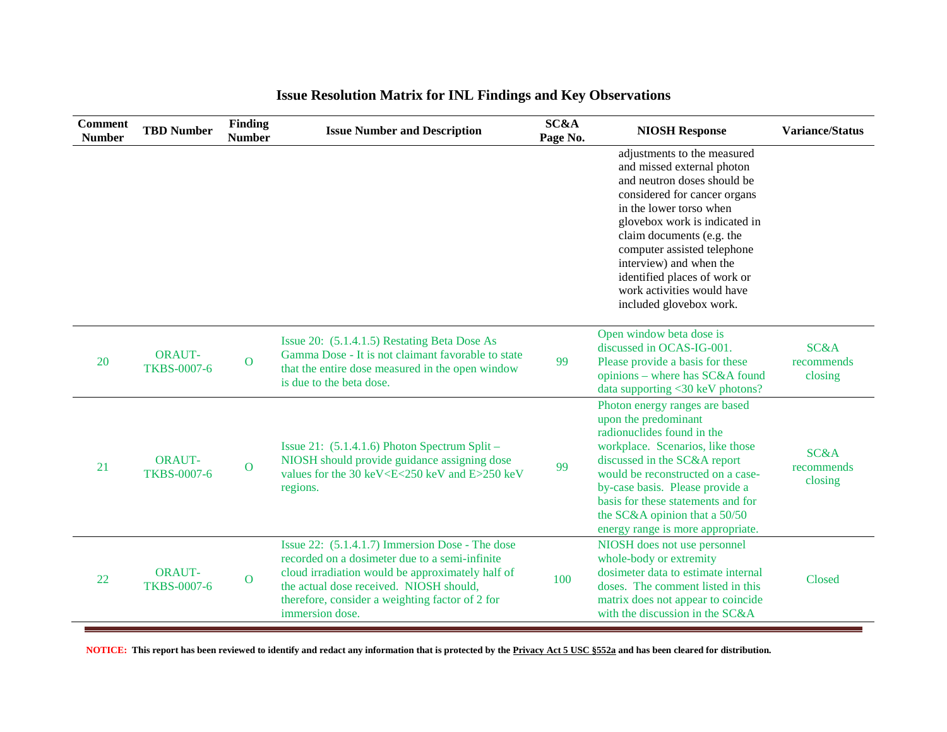| <b>Comment</b><br><b>Number</b> | <b>TBD Number</b>                   | Finding<br><b>Number</b> | <b>Issue Number and Description</b>                                                                                                                                                                                                                                    | SC&A<br>Page No. | <b>NIOSH Response</b>                                                                                                                                                                                                                                                                                                                                                | <b>Variance/Status</b>        |
|---------------------------------|-------------------------------------|--------------------------|------------------------------------------------------------------------------------------------------------------------------------------------------------------------------------------------------------------------------------------------------------------------|------------------|----------------------------------------------------------------------------------------------------------------------------------------------------------------------------------------------------------------------------------------------------------------------------------------------------------------------------------------------------------------------|-------------------------------|
|                                 |                                     |                          |                                                                                                                                                                                                                                                                        |                  | adjustments to the measured<br>and missed external photon<br>and neutron doses should be<br>considered for cancer organs<br>in the lower torso when<br>glovebox work is indicated in<br>claim documents (e.g. the<br>computer assisted telephone<br>interview) and when the<br>identified places of work or<br>work activities would have<br>included glovebox work. |                               |
| 20                              | <b>ORAUT-</b><br><b>TKBS-0007-6</b> | $\mathbf{O}$             | Issue 20: (5.1.4.1.5) Restating Beta Dose As<br>Gamma Dose - It is not claimant favorable to state<br>that the entire dose measured in the open window<br>is due to the beta dose.                                                                                     | 99               | Open window beta dose is<br>discussed in OCAS-IG-001.<br>Please provide a basis for these<br>opinions – where has SC&A found<br>data supporting <30 keV photons?                                                                                                                                                                                                     | SC&A<br>recommends<br>closing |
| 21                              | <b>ORAUT-</b><br><b>TKBS-0007-6</b> | $\overline{O}$           | Issue 21: $(5.1.4.1.6)$ Photon Spectrum Split –<br>NIOSH should provide guidance assigning dose<br>values for the 30 keV <e<250 and="" e="" kev="">250 keV<br/>regions.</e<250>                                                                                        | 99               | Photon energy ranges are based<br>upon the predominant<br>radionuclides found in the<br>workplace. Scenarios, like those<br>discussed in the SC&A report<br>would be reconstructed on a case-<br>by-case basis. Please provide a<br>basis for these statements and for<br>the SC&A opinion that a 50/50<br>energy range is more appropriate.                         | SC&A<br>recommends<br>closing |
| 22                              | <b>ORAUT-</b><br><b>TKBS-0007-6</b> | $\mathbf{O}$             | Issue 22: (5.1.4.1.7) Immersion Dose - The dose<br>recorded on a dosimeter due to a semi-infinite<br>cloud irradiation would be approximately half of<br>the actual dose received. NIOSH should,<br>therefore, consider a weighting factor of 2 for<br>immersion dose. | 100              | NIOSH does not use personnel<br>whole-body or extremity<br>dosimeter data to estimate internal<br>doses. The comment listed in this<br>matrix does not appear to coincide<br>with the discussion in the SC&A                                                                                                                                                         | Closed                        |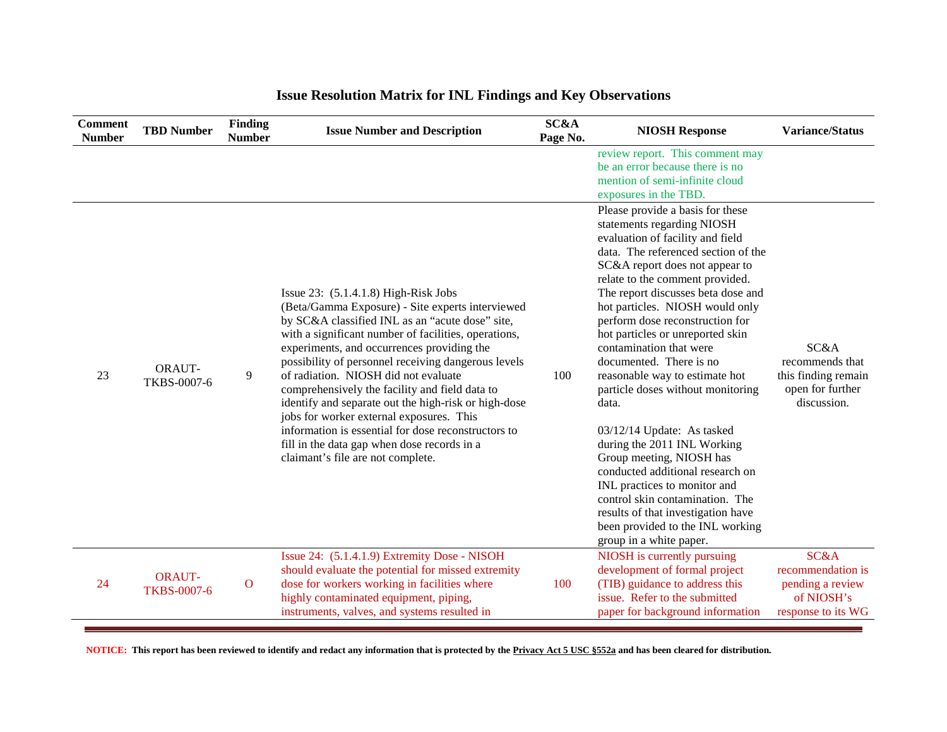| <b>Comment</b><br><b>Number</b> | <b>TBD Number</b>                   | Finding<br><b>Number</b> | <b>Issue Number and Description</b>                                                                                                                                                                                                                                                                                                                                                                                                                                                                                                                                                                                                                 | SC&A<br>Page No. | <b>NIOSH Response</b>                                                                                                                                                                                                                                                                                                                                                                                                                                                                                                                                                                                                                                                                                                                                                                                     | <b>Variance/Status</b>                                                            |
|---------------------------------|-------------------------------------|--------------------------|-----------------------------------------------------------------------------------------------------------------------------------------------------------------------------------------------------------------------------------------------------------------------------------------------------------------------------------------------------------------------------------------------------------------------------------------------------------------------------------------------------------------------------------------------------------------------------------------------------------------------------------------------------|------------------|-----------------------------------------------------------------------------------------------------------------------------------------------------------------------------------------------------------------------------------------------------------------------------------------------------------------------------------------------------------------------------------------------------------------------------------------------------------------------------------------------------------------------------------------------------------------------------------------------------------------------------------------------------------------------------------------------------------------------------------------------------------------------------------------------------------|-----------------------------------------------------------------------------------|
|                                 |                                     |                          |                                                                                                                                                                                                                                                                                                                                                                                                                                                                                                                                                                                                                                                     |                  | review report. This comment may<br>be an error because there is no<br>mention of semi-infinite cloud<br>exposures in the TBD.                                                                                                                                                                                                                                                                                                                                                                                                                                                                                                                                                                                                                                                                             |                                                                                   |
| 23                              | ORAUT-<br>TKBS-0007-6               | 9                        | Issue $23: (5.1.4.1.8)$ High-Risk Jobs<br>(Beta/Gamma Exposure) - Site experts interviewed<br>by SC&A classified INL as an "acute dose" site,<br>with a significant number of facilities, operations,<br>experiments, and occurrences providing the<br>possibility of personnel receiving dangerous levels<br>of radiation. NIOSH did not evaluate<br>comprehensively the facility and field data to<br>identify and separate out the high-risk or high-dose<br>jobs for worker external exposures. This<br>information is essential for dose reconstructors to<br>fill in the data gap when dose records in a<br>claimant's file are not complete. | 100              | Please provide a basis for these<br>statements regarding NIOSH<br>evaluation of facility and field<br>data. The referenced section of the<br>SC&A report does not appear to<br>relate to the comment provided.<br>The report discusses beta dose and<br>hot particles. NIOSH would only<br>perform dose reconstruction for<br>hot particles or unreported skin<br>contamination that were<br>documented. There is no<br>reasonable way to estimate hot<br>particle doses without monitoring<br>data.<br>03/12/14 Update: As tasked<br>during the 2011 INL Working<br>Group meeting, NIOSH has<br>conducted additional research on<br>INL practices to monitor and<br>control skin contamination. The<br>results of that investigation have<br>been provided to the INL working<br>group in a white paper. | SC&A<br>recommends that<br>this finding remain<br>open for further<br>discussion. |
| 24                              | <b>ORAUT-</b><br><b>TKBS-0007-6</b> | $\mathbf{O}$             | Issue 24: (5.1.4.1.9) Extremity Dose - NISOH<br>should evaluate the potential for missed extremity<br>dose for workers working in facilities where<br>highly contaminated equipment, piping,<br>instruments, valves, and systems resulted in                                                                                                                                                                                                                                                                                                                                                                                                        | 100              | NIOSH is currently pursuing<br>development of formal project<br>(TIB) guidance to address this<br>issue. Refer to the submitted<br>paper for background information                                                                                                                                                                                                                                                                                                                                                                                                                                                                                                                                                                                                                                       | SC&A<br>recommendation is<br>pending a review<br>of NIOSH's<br>response to its WG |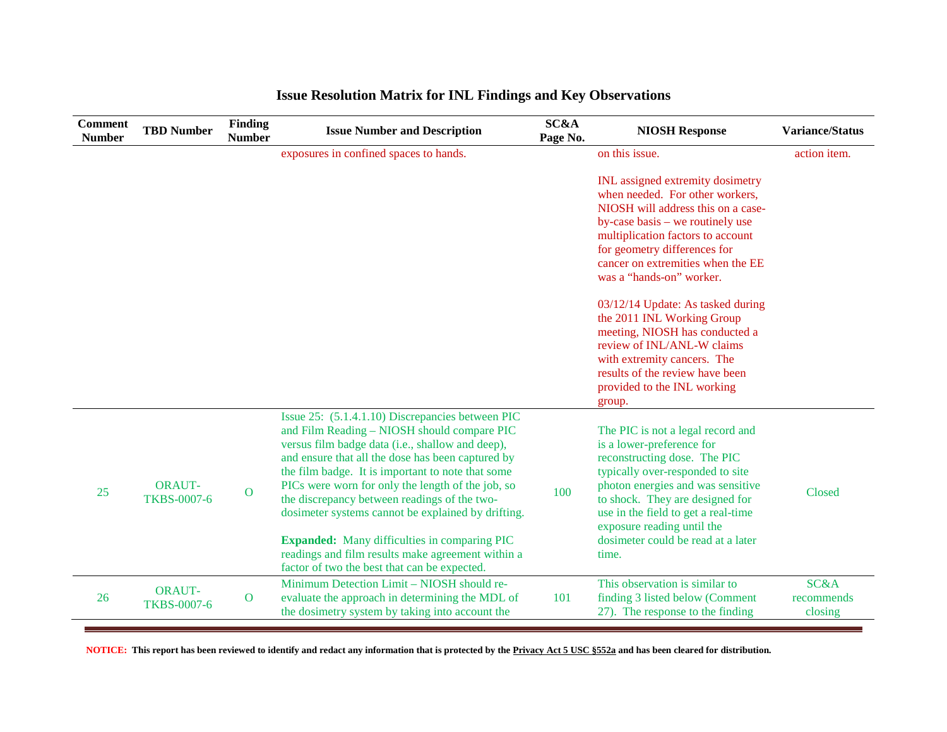| <b>Comment</b><br><b>Number</b> | <b>TBD Number</b>                   | <b>Finding</b><br><b>Number</b> | <b>Issue Number and Description</b>                                                                                                                                                                                                                                                                                                                                                                                                                                                                                                                                                  | SC&A<br>Page No. | <b>NIOSH Response</b>                                                                                                                                                                                                                                                                                                                                                                                                                                                                                                                    | <b>Variance/Status</b>                   |
|---------------------------------|-------------------------------------|---------------------------------|--------------------------------------------------------------------------------------------------------------------------------------------------------------------------------------------------------------------------------------------------------------------------------------------------------------------------------------------------------------------------------------------------------------------------------------------------------------------------------------------------------------------------------------------------------------------------------------|------------------|------------------------------------------------------------------------------------------------------------------------------------------------------------------------------------------------------------------------------------------------------------------------------------------------------------------------------------------------------------------------------------------------------------------------------------------------------------------------------------------------------------------------------------------|------------------------------------------|
|                                 |                                     |                                 | exposures in confined spaces to hands.                                                                                                                                                                                                                                                                                                                                                                                                                                                                                                                                               |                  | on this issue.                                                                                                                                                                                                                                                                                                                                                                                                                                                                                                                           | action item.                             |
|                                 |                                     |                                 |                                                                                                                                                                                                                                                                                                                                                                                                                                                                                                                                                                                      |                  | <b>INL</b> assigned extremity dosimetry<br>when needed. For other workers,<br>NIOSH will address this on a case-<br>by-case basis – we routinely use<br>multiplication factors to account<br>for geometry differences for<br>cancer on extremities when the EE<br>was a "hands-on" worker.<br>03/12/14 Update: As tasked during<br>the 2011 INL Working Group<br>meeting, NIOSH has conducted a<br>review of INL/ANL-W claims<br>with extremity cancers. The<br>results of the review have been<br>provided to the INL working<br>group. |                                          |
| 25                              | <b>ORAUT-</b><br><b>TKBS-0007-6</b> | $\mathbf{O}$                    | Issue 25: (5.1.4.1.10) Discrepancies between PIC<br>and Film Reading - NIOSH should compare PIC<br>versus film badge data (i.e., shallow and deep),<br>and ensure that all the dose has been captured by<br>the film badge. It is important to note that some<br>PICs were worn for only the length of the job, so<br>the discrepancy between readings of the two-<br>dosimeter systems cannot be explained by drifting.<br><b>Expanded:</b> Many difficulties in comparing PIC<br>readings and film results make agreement within a<br>factor of two the best that can be expected. | 100              | The PIC is not a legal record and<br>is a lower-preference for<br>reconstructing dose. The PIC<br>typically over-responded to site<br>photon energies and was sensitive<br>to shock. They are designed for<br>use in the field to get a real-time<br>exposure reading until the<br>dosimeter could be read at a later<br>time.                                                                                                                                                                                                           | Closed                                   |
| 26                              | <b>ORAUT-</b><br><b>TKBS-0007-6</b> | $\overline{O}$                  | Minimum Detection Limit - NIOSH should re-<br>evaluate the approach in determining the MDL of<br>the dosimetry system by taking into account the                                                                                                                                                                                                                                                                                                                                                                                                                                     | 101              | This observation is similar to<br>finding 3 listed below (Comment<br>27). The response to the finding                                                                                                                                                                                                                                                                                                                                                                                                                                    | <b>SC&amp;A</b><br>recommends<br>closing |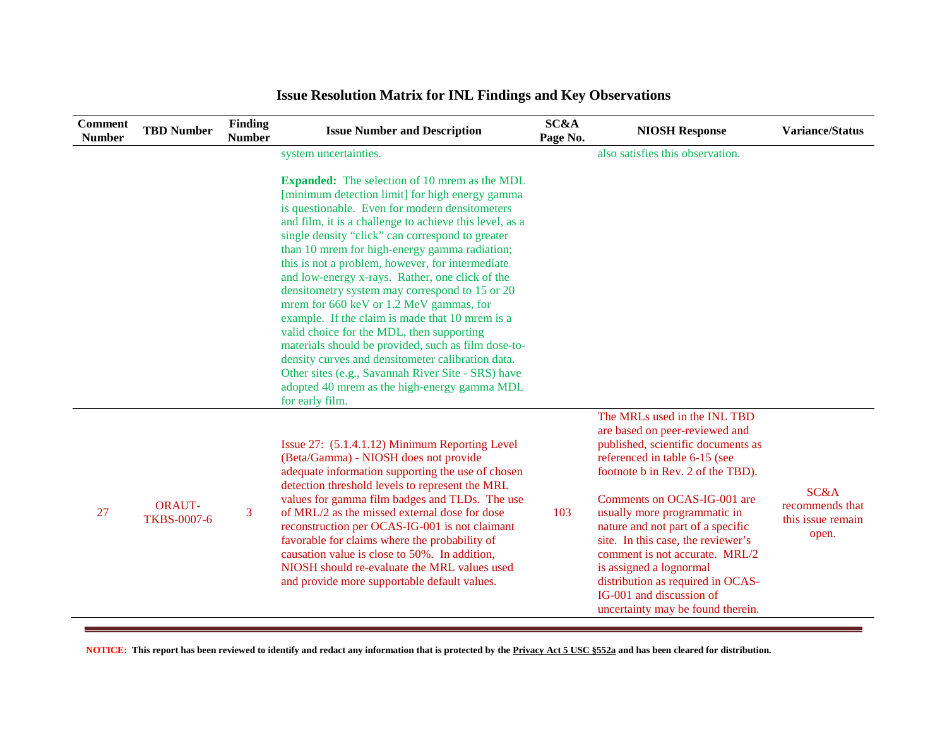| <b>Comment</b><br><b>Number</b> | <b>TBD Number</b>                   | <b>Finding</b><br><b>Number</b> | <b>Issue Number and Description</b>                                                                                                                                                                                                                                                                                                                                                                                                                                                                                                                                                                                                                                                                                                                                                                                                                                | SC&A<br>Page No. | <b>NIOSH Response</b>                                                                                                                                                                                                                                                                                                                                                                                                                                                                   | <b>Variance/Status</b>                                |
|---------------------------------|-------------------------------------|---------------------------------|--------------------------------------------------------------------------------------------------------------------------------------------------------------------------------------------------------------------------------------------------------------------------------------------------------------------------------------------------------------------------------------------------------------------------------------------------------------------------------------------------------------------------------------------------------------------------------------------------------------------------------------------------------------------------------------------------------------------------------------------------------------------------------------------------------------------------------------------------------------------|------------------|-----------------------------------------------------------------------------------------------------------------------------------------------------------------------------------------------------------------------------------------------------------------------------------------------------------------------------------------------------------------------------------------------------------------------------------------------------------------------------------------|-------------------------------------------------------|
|                                 |                                     |                                 | system uncertainties.                                                                                                                                                                                                                                                                                                                                                                                                                                                                                                                                                                                                                                                                                                                                                                                                                                              |                  | also satisfies this observation.                                                                                                                                                                                                                                                                                                                                                                                                                                                        |                                                       |
|                                 |                                     |                                 | <b>Expanded:</b> The selection of 10 mrem as the MDL<br>[minimum detection limit] for high energy gamma<br>is questionable. Even for modern densitometers<br>and film, it is a challenge to achieve this level, as a<br>single density "click" can correspond to greater<br>than 10 mrem for high-energy gamma radiation;<br>this is not a problem, however, for intermediate<br>and low-energy x-rays. Rather, one click of the<br>densitometry system may correspond to 15 or 20<br>mrem for 660 keV or 1.2 MeV gammas, for<br>example. If the claim is made that 10 mrem is a<br>valid choice for the MDL, then supporting<br>materials should be provided, such as film dose-to-<br>density curves and densitometer calibration data.<br>Other sites (e.g., Savannah River Site - SRS) have<br>adopted 40 mrem as the high-energy gamma MDL<br>for early film. |                  |                                                                                                                                                                                                                                                                                                                                                                                                                                                                                         |                                                       |
| 27                              | <b>ORAUT-</b><br><b>TKBS-0007-6</b> | $\overline{3}$                  | Issue 27: (5.1.4.1.12) Minimum Reporting Level<br>(Beta/Gamma) - NIOSH does not provide<br>adequate information supporting the use of chosen<br>detection threshold levels to represent the MRL<br>values for gamma film badges and TLDs. The use<br>of MRL/2 as the missed external dose for dose<br>reconstruction per OCAS-IG-001 is not claimant<br>favorable for claims where the probability of<br>causation value is close to 50%. In addition,<br>NIOSH should re-evaluate the MRL values used<br>and provide more supportable default values.                                                                                                                                                                                                                                                                                                             | 103              | The MRLs used in the INL TBD<br>are based on peer-reviewed and<br>published, scientific documents as<br>referenced in table 6-15 (see<br>footnote b in Rev. 2 of the TBD).<br>Comments on OCAS-IG-001 are<br>usually more programmatic in<br>nature and not part of a specific<br>site. In this case, the reviewer's<br>comment is not accurate. MRL/2<br>is assigned a lognormal<br>distribution as required in OCAS-<br>IG-001 and discussion of<br>uncertainty may be found therein. | SC&A<br>recommends that<br>this issue remain<br>open. |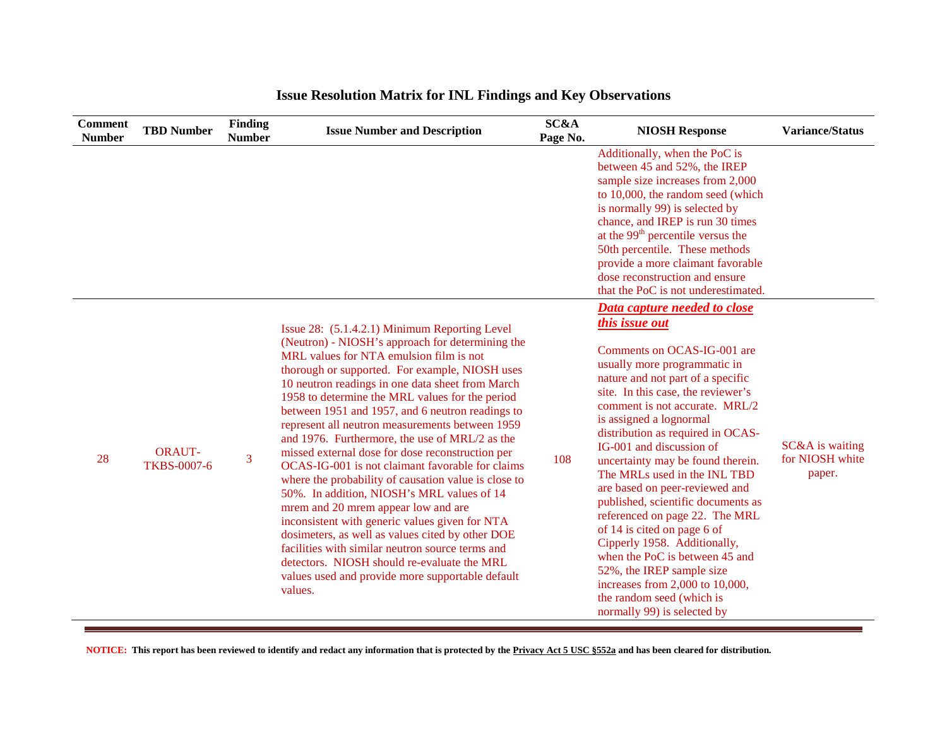| <b>Comment</b><br><b>Number</b> | <b>TBD Number</b>                   | Finding<br><b>Number</b> | <b>Issue Number and Description</b>                                                                                                                                                                                                                                                                                                                                                                                                                                                                                                                                                                                                                                                                                                                                                                                                                                                                                                                                                         | SC&A<br>Page No. | <b>NIOSH Response</b>                                                                                                                                                                                                                                                                                                                                                                                                                                                                                                                                                                                                                                                                                                                     | <b>Variance/Status</b>                       |
|---------------------------------|-------------------------------------|--------------------------|---------------------------------------------------------------------------------------------------------------------------------------------------------------------------------------------------------------------------------------------------------------------------------------------------------------------------------------------------------------------------------------------------------------------------------------------------------------------------------------------------------------------------------------------------------------------------------------------------------------------------------------------------------------------------------------------------------------------------------------------------------------------------------------------------------------------------------------------------------------------------------------------------------------------------------------------------------------------------------------------|------------------|-------------------------------------------------------------------------------------------------------------------------------------------------------------------------------------------------------------------------------------------------------------------------------------------------------------------------------------------------------------------------------------------------------------------------------------------------------------------------------------------------------------------------------------------------------------------------------------------------------------------------------------------------------------------------------------------------------------------------------------------|----------------------------------------------|
|                                 |                                     |                          |                                                                                                                                                                                                                                                                                                                                                                                                                                                                                                                                                                                                                                                                                                                                                                                                                                                                                                                                                                                             |                  | Additionally, when the PoC is<br>between 45 and 52%, the IREP<br>sample size increases from 2,000<br>to 10,000, the random seed (which<br>is normally 99) is selected by<br>chance, and IREP is run 30 times<br>at the 99 <sup>th</sup> percentile versus the<br>50th percentile. These methods<br>provide a more claimant favorable<br>dose reconstruction and ensure<br>that the PoC is not underestimated.                                                                                                                                                                                                                                                                                                                             |                                              |
| 28                              | <b>ORAUT-</b><br><b>TKBS-0007-6</b> | 3                        | Issue 28: (5.1.4.2.1) Minimum Reporting Level<br>(Neutron) - NIOSH's approach for determining the<br>MRL values for NTA emulsion film is not<br>thorough or supported. For example, NIOSH uses<br>10 neutron readings in one data sheet from March<br>1958 to determine the MRL values for the period<br>between 1951 and 1957, and 6 neutron readings to<br>represent all neutron measurements between 1959<br>and 1976. Furthermore, the use of MRL/2 as the<br>missed external dose for dose reconstruction per<br>OCAS-IG-001 is not claimant favorable for claims<br>where the probability of causation value is close to<br>50%. In addition, NIOSH's MRL values of 14<br>mrem and 20 mrem appear low and are<br>inconsistent with generic values given for NTA<br>dosimeters, as well as values cited by other DOE<br>facilities with similar neutron source terms and<br>detectors. NIOSH should re-evaluate the MRL<br>values used and provide more supportable default<br>values. | 108              | Data capture needed to close<br><i>this issue out</i><br>Comments on OCAS-IG-001 are<br>usually more programmatic in<br>nature and not part of a specific<br>site. In this case, the reviewer's<br>comment is not accurate. MRL/2<br>is assigned a lognormal<br>distribution as required in OCAS-<br>IG-001 and discussion of<br>uncertainty may be found therein.<br>The MRLs used in the INL TBD<br>are based on peer-reviewed and<br>published, scientific documents as<br>referenced on page 22. The MRL<br>of 14 is cited on page 6 of<br>Cipperly 1958. Additionally,<br>when the PoC is between 45 and<br>52%, the IREP sample size<br>increases from 2,000 to 10,000,<br>the random seed (which is<br>normally 99) is selected by | SC&A is waiting<br>for NIOSH white<br>paper. |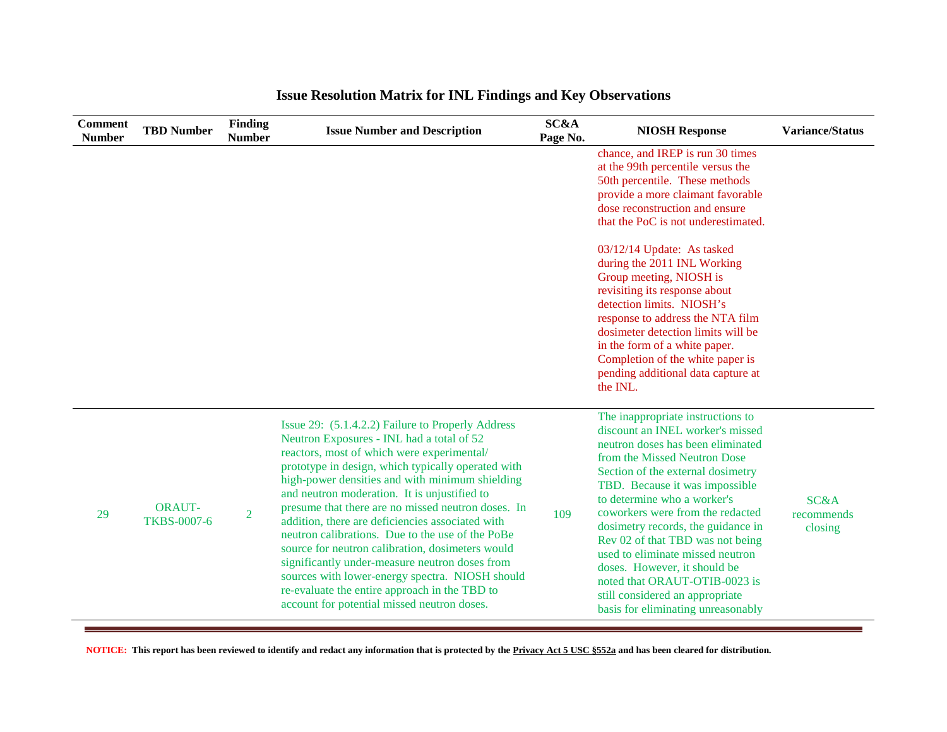| <b>Comment</b><br><b>Number</b> | <b>TBD Number</b>                   | <b>Finding</b><br><b>Number</b> | <b>Issue Number and Description</b>                                                                                                                                                                                                                                                                                                                                                                                                                                                                                                                                                                                                                                                                                          | SC&A<br>Page No. | <b>NIOSH Response</b>                                                                                                                                                                                                                                                                                                                                                                                                                                                                                                                        | <b>Variance/Status</b>                   |
|---------------------------------|-------------------------------------|---------------------------------|------------------------------------------------------------------------------------------------------------------------------------------------------------------------------------------------------------------------------------------------------------------------------------------------------------------------------------------------------------------------------------------------------------------------------------------------------------------------------------------------------------------------------------------------------------------------------------------------------------------------------------------------------------------------------------------------------------------------------|------------------|----------------------------------------------------------------------------------------------------------------------------------------------------------------------------------------------------------------------------------------------------------------------------------------------------------------------------------------------------------------------------------------------------------------------------------------------------------------------------------------------------------------------------------------------|------------------------------------------|
|                                 |                                     |                                 |                                                                                                                                                                                                                                                                                                                                                                                                                                                                                                                                                                                                                                                                                                                              |                  | chance, and IREP is run 30 times<br>at the 99th percentile versus the<br>50th percentile. These methods<br>provide a more claimant favorable<br>dose reconstruction and ensure<br>that the PoC is not underestimated.                                                                                                                                                                                                                                                                                                                        |                                          |
|                                 |                                     |                                 |                                                                                                                                                                                                                                                                                                                                                                                                                                                                                                                                                                                                                                                                                                                              |                  | 03/12/14 Update: As tasked<br>during the 2011 INL Working<br>Group meeting, NIOSH is<br>revisiting its response about<br>detection limits. NIOSH's<br>response to address the NTA film<br>dosimeter detection limits will be<br>in the form of a white paper.<br>Completion of the white paper is<br>pending additional data capture at<br>the INL.                                                                                                                                                                                          |                                          |
| 29                              | <b>ORAUT-</b><br><b>TKBS-0007-6</b> | $\overline{2}$                  | Issue 29: (5.1.4.2.2) Failure to Properly Address<br>Neutron Exposures - INL had a total of 52<br>reactors, most of which were experimental/<br>prototype in design, which typically operated with<br>high-power densities and with minimum shielding<br>and neutron moderation. It is unjustified to<br>presume that there are no missed neutron doses. In<br>addition, there are deficiencies associated with<br>neutron calibrations. Due to the use of the PoBe<br>source for neutron calibration, dosimeters would<br>significantly under-measure neutron doses from<br>sources with lower-energy spectra. NIOSH should<br>re-evaluate the entire approach in the TBD to<br>account for potential missed neutron doses. | 109              | The inappropriate instructions to<br>discount an INEL worker's missed<br>neutron doses has been eliminated<br>from the Missed Neutron Dose<br>Section of the external dosimetry<br>TBD. Because it was impossible<br>to determine who a worker's<br>coworkers were from the redacted<br>dosimetry records, the guidance in<br>Rev 02 of that TBD was not being<br>used to eliminate missed neutron<br>doses. However, it should be<br>noted that ORAUT-OTIB-0023 is<br>still considered an appropriate<br>basis for eliminating unreasonably | <b>SC&amp;A</b><br>recommends<br>closing |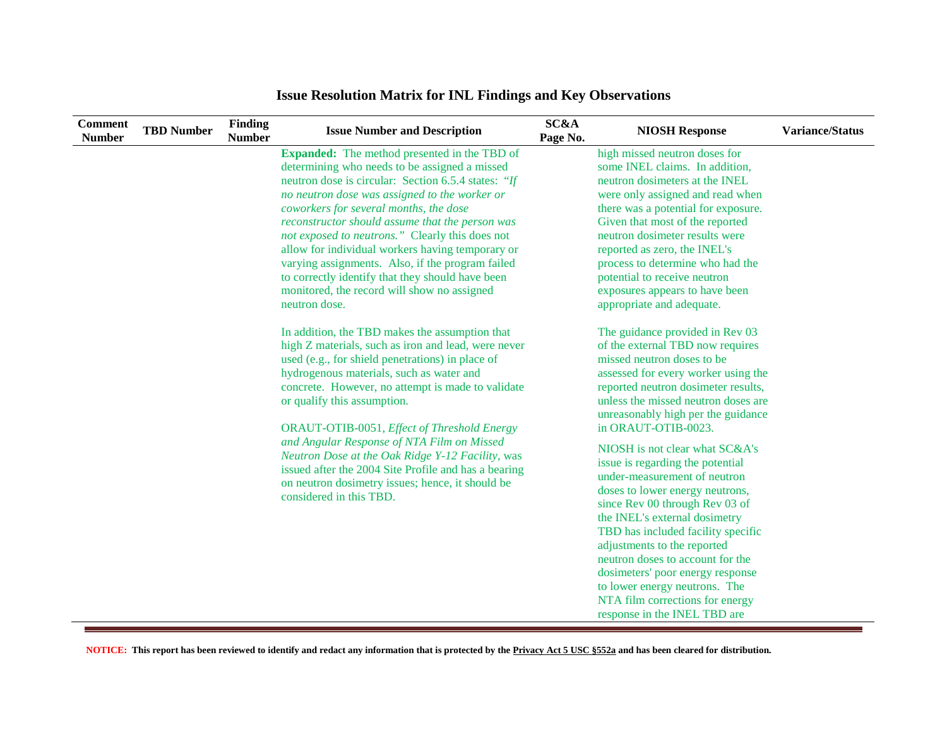| <b>Comment</b><br><b>Number</b> | <b>TBD</b> Number | Finding<br><b>Number</b> | <b>Issue Number and Description</b>                  | SC&A<br>Page No. | <b>NIOSH Response</b>               | Variance/Status |
|---------------------------------|-------------------|--------------------------|------------------------------------------------------|------------------|-------------------------------------|-----------------|
|                                 |                   |                          | <b>Expanded:</b> The method presented in the TBD of  |                  | high missed neutron doses for       |                 |
|                                 |                   |                          | determining who needs to be assigned a missed        |                  | some INEL claims. In addition,      |                 |
|                                 |                   |                          | neutron dose is circular: Section 6.5.4 states: "If  |                  | neutron dosimeters at the INEL      |                 |
|                                 |                   |                          | no neutron dose was assigned to the worker or        |                  | were only assigned and read when    |                 |
|                                 |                   |                          | coworkers for several months, the dose               |                  | there was a potential for exposure. |                 |
|                                 |                   |                          | reconstructor should assume that the person was      |                  | Given that most of the reported     |                 |
|                                 |                   |                          | not exposed to neutrons." Clearly this does not      |                  | neutron dosimeter results were      |                 |
|                                 |                   |                          | allow for individual workers having temporary or     |                  | reported as zero, the INEL's        |                 |
|                                 |                   |                          | varying assignments. Also, if the program failed     |                  | process to determine who had the    |                 |
|                                 |                   |                          | to correctly identify that they should have been     |                  | potential to receive neutron        |                 |
|                                 |                   |                          | monitored, the record will show no assigned          |                  | exposures appears to have been      |                 |
|                                 |                   |                          | neutron dose.                                        |                  | appropriate and adequate.           |                 |
|                                 |                   |                          | In addition, the TBD makes the assumption that       |                  | The guidance provided in Rev 03     |                 |
|                                 |                   |                          | high Z materials, such as iron and lead, were never  |                  | of the external TBD now requires    |                 |
|                                 |                   |                          | used (e.g., for shield penetrations) in place of     |                  | missed neutron doses to be          |                 |
|                                 |                   |                          | hydrogenous materials, such as water and             |                  | assessed for every worker using the |                 |
|                                 |                   |                          | concrete. However, no attempt is made to validate    |                  | reported neutron dosimeter results, |                 |
|                                 |                   |                          | or qualify this assumption.                          |                  | unless the missed neutron doses are |                 |
|                                 |                   |                          |                                                      |                  | unreasonably high per the guidance  |                 |
|                                 |                   |                          | ORAUT-OTIB-0051, Effect of Threshold Energy          |                  | in ORAUT-OTIB-0023.                 |                 |
|                                 |                   |                          | and Angular Response of NTA Film on Missed           |                  | NIOSH is not clear what SC&A's      |                 |
|                                 |                   |                          | Neutron Dose at the Oak Ridge Y-12 Facility, was     |                  | issue is regarding the potential    |                 |
|                                 |                   |                          | issued after the 2004 Site Profile and has a bearing |                  | under-measurement of neutron        |                 |
|                                 |                   |                          | on neutron dosimetry issues; hence, it should be     |                  | doses to lower energy neutrons,     |                 |
|                                 |                   |                          | considered in this TBD.                              |                  | since Rev 00 through Rev 03 of      |                 |
|                                 |                   |                          |                                                      |                  | the INEL's external dosimetry       |                 |
|                                 |                   |                          |                                                      |                  | TBD has included facility specific  |                 |
|                                 |                   |                          |                                                      |                  | adjustments to the reported         |                 |
|                                 |                   |                          |                                                      |                  | neutron doses to account for the    |                 |
|                                 |                   |                          |                                                      |                  | dosimeters' poor energy response    |                 |
|                                 |                   |                          |                                                      |                  | to lower energy neutrons. The       |                 |
|                                 |                   |                          |                                                      |                  | NTA film corrections for energy     |                 |
|                                 |                   |                          |                                                      |                  | response in the INEL TBD are        |                 |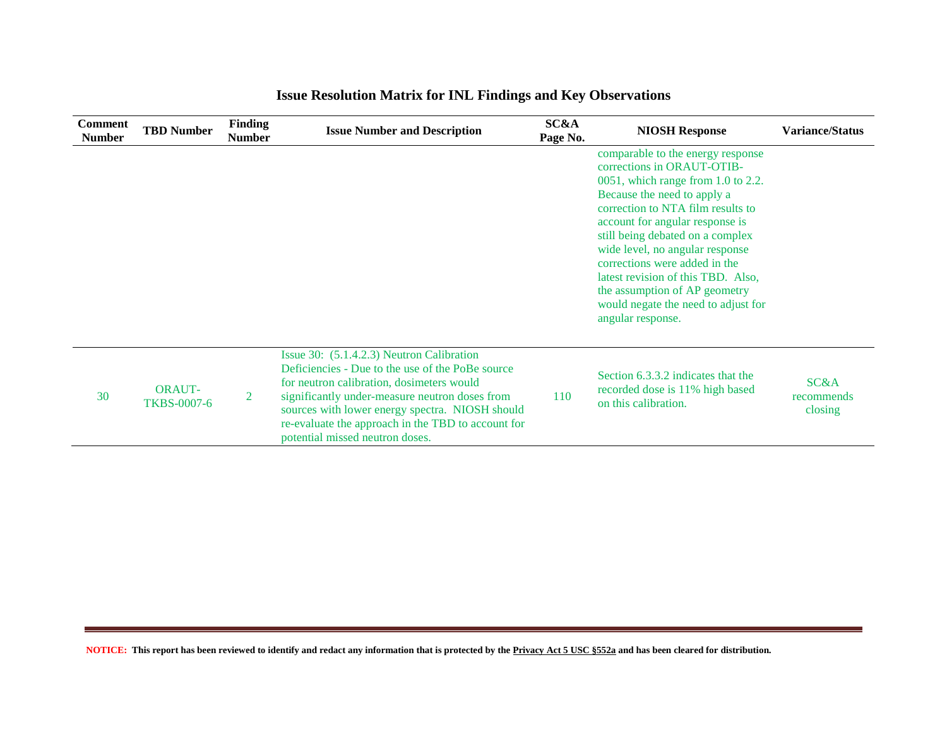| <b>Comment</b><br><b>Number</b> | <b>TBD Number</b>                   | <b>Finding</b><br><b>Number</b> | <b>Issue Number and Description</b>                                                                                                                                                                                                                                                                                                      | <b>SC&amp;A</b><br>Page No. | <b>NIOSH Response</b>                                                                                                                                                                                                                                                                                                                                                                                                                                      | <b>Variance/Status</b>        |
|---------------------------------|-------------------------------------|---------------------------------|------------------------------------------------------------------------------------------------------------------------------------------------------------------------------------------------------------------------------------------------------------------------------------------------------------------------------------------|-----------------------------|------------------------------------------------------------------------------------------------------------------------------------------------------------------------------------------------------------------------------------------------------------------------------------------------------------------------------------------------------------------------------------------------------------------------------------------------------------|-------------------------------|
|                                 |                                     |                                 |                                                                                                                                                                                                                                                                                                                                          |                             | comparable to the energy response<br>corrections in ORAUT-OTIB-<br>$0051$ , which range from 1.0 to 2.2.<br>Because the need to apply a<br>correction to NTA film results to<br>account for angular response is<br>still being debated on a complex<br>wide level, no angular response<br>corrections were added in the<br>latest revision of this TBD. Also,<br>the assumption of AP geometry<br>would negate the need to adjust for<br>angular response. |                               |
| 30                              | <b>ORAUT-</b><br><b>TKBS-0007-6</b> | 2                               | Issue 30: (5.1.4.2.3) Neutron Calibration<br>Deficiencies - Due to the use of the PoBe source<br>for neutron calibration, dosimeters would<br>significantly under-measure neutron doses from<br>sources with lower energy spectra. NIOSH should<br>re-evaluate the approach in the TBD to account for<br>potential missed neutron doses. | 110                         | Section 6.3.3.2 indicates that the<br>recorded dose is 11% high based<br>on this calibration.                                                                                                                                                                                                                                                                                                                                                              | SC&A<br>recommends<br>closing |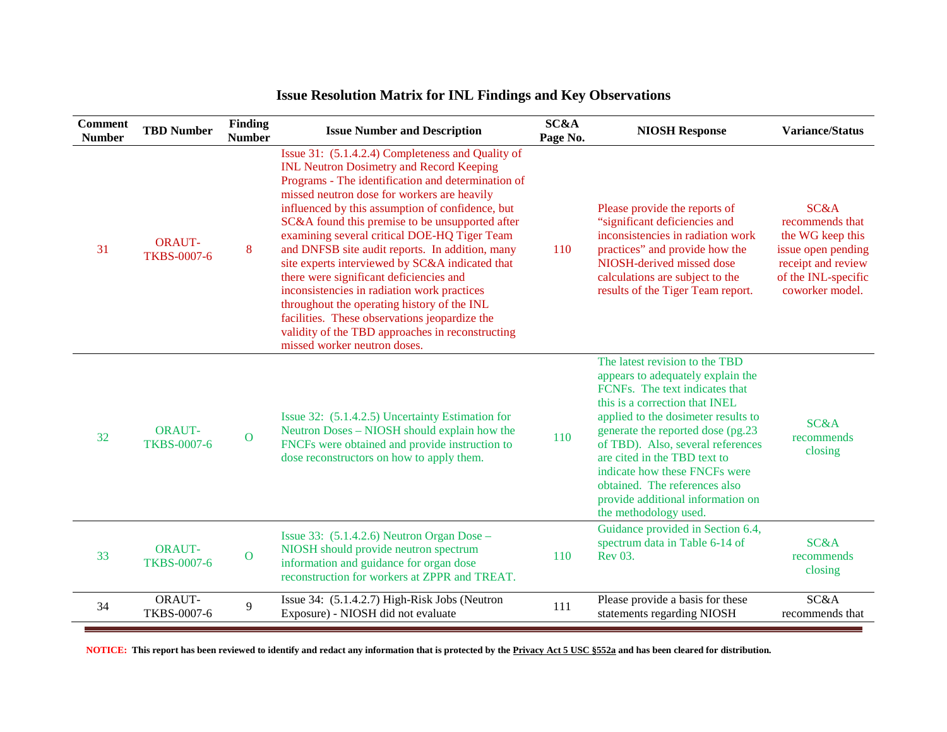| <b>Comment</b><br><b>Number</b> | <b>TBD Number</b>                   | <b>Finding</b><br><b>Number</b> | <b>Issue Number and Description</b>                                                                                                                                                                                                                                                                                                                                                                                                                                                                                                                                                                                                                                                                                                                  | SC&A<br>Page No. | <b>NIOSH Response</b>                                                                                                                                                                                                                                                                                                                                                                                                     | <b>Variance/Status</b>                                                                                                            |
|---------------------------------|-------------------------------------|---------------------------------|------------------------------------------------------------------------------------------------------------------------------------------------------------------------------------------------------------------------------------------------------------------------------------------------------------------------------------------------------------------------------------------------------------------------------------------------------------------------------------------------------------------------------------------------------------------------------------------------------------------------------------------------------------------------------------------------------------------------------------------------------|------------------|---------------------------------------------------------------------------------------------------------------------------------------------------------------------------------------------------------------------------------------------------------------------------------------------------------------------------------------------------------------------------------------------------------------------------|-----------------------------------------------------------------------------------------------------------------------------------|
| 31                              | <b>ORAUT-</b><br><b>TKBS-0007-6</b> | 8                               | Issue 31: (5.1.4.2.4) Completeness and Quality of<br><b>INL Neutron Dosimetry and Record Keeping</b><br>Programs - The identification and determination of<br>missed neutron dose for workers are heavily<br>influenced by this assumption of confidence, but<br>SC&A found this premise to be unsupported after<br>examining several critical DOE-HQ Tiger Team<br>and DNFSB site audit reports. In addition, many<br>site experts interviewed by SC&A indicated that<br>there were significant deficiencies and<br>inconsistencies in radiation work practices<br>throughout the operating history of the INL<br>facilities. These observations jeopardize the<br>validity of the TBD approaches in reconstructing<br>missed worker neutron doses. | 110              | Please provide the reports of<br>"significant deficiencies and<br>inconsistencies in radiation work<br>practices" and provide how the<br>NIOSH-derived missed dose<br>calculations are subject to the<br>results of the Tiger Team report.                                                                                                                                                                                | SC&A<br>recommends that<br>the WG keep this<br>issue open pending<br>receipt and review<br>of the INL-specific<br>coworker model. |
| 32                              | <b>ORAUT-</b><br><b>TKBS-0007-6</b> | $\mathbf{O}$                    | Issue 32: (5.1.4.2.5) Uncertainty Estimation for<br>Neutron Doses – NIOSH should explain how the<br>FNCFs were obtained and provide instruction to<br>dose reconstructors on how to apply them.                                                                                                                                                                                                                                                                                                                                                                                                                                                                                                                                                      | 110              | The latest revision to the TBD<br>appears to adequately explain the<br>FCNFs. The text indicates that<br>this is a correction that INEL<br>applied to the dosimeter results to<br>generate the reported dose (pg.23)<br>of TBD). Also, several references<br>are cited in the TBD text to<br>indicate how these FNCFs were<br>obtained. The references also<br>provide additional information on<br>the methodology used. | SC&A<br>recommends<br>closing                                                                                                     |
| 33                              | <b>ORAUT-</b><br><b>TKBS-0007-6</b> | $\mathbf{O}$                    | Issue 33: $(5.1.4.2.6)$ Neutron Organ Dose –<br>NIOSH should provide neutron spectrum<br>information and guidance for organ dose<br>reconstruction for workers at ZPPR and TREAT.                                                                                                                                                                                                                                                                                                                                                                                                                                                                                                                                                                    | 110              | Guidance provided in Section 6.4,<br>spectrum data in Table 6-14 of<br>Rev 03.                                                                                                                                                                                                                                                                                                                                            | <b>SC&amp;A</b><br>recommends<br>closing                                                                                          |
| 34                              | ORAUT-<br>TKBS-0007-6               | 9                               | Issue 34: (5.1.4.2.7) High-Risk Jobs (Neutron<br>Exposure) - NIOSH did not evaluate                                                                                                                                                                                                                                                                                                                                                                                                                                                                                                                                                                                                                                                                  | 111              | Please provide a basis for these<br>statements regarding NIOSH                                                                                                                                                                                                                                                                                                                                                            | SC&A<br>recommends that                                                                                                           |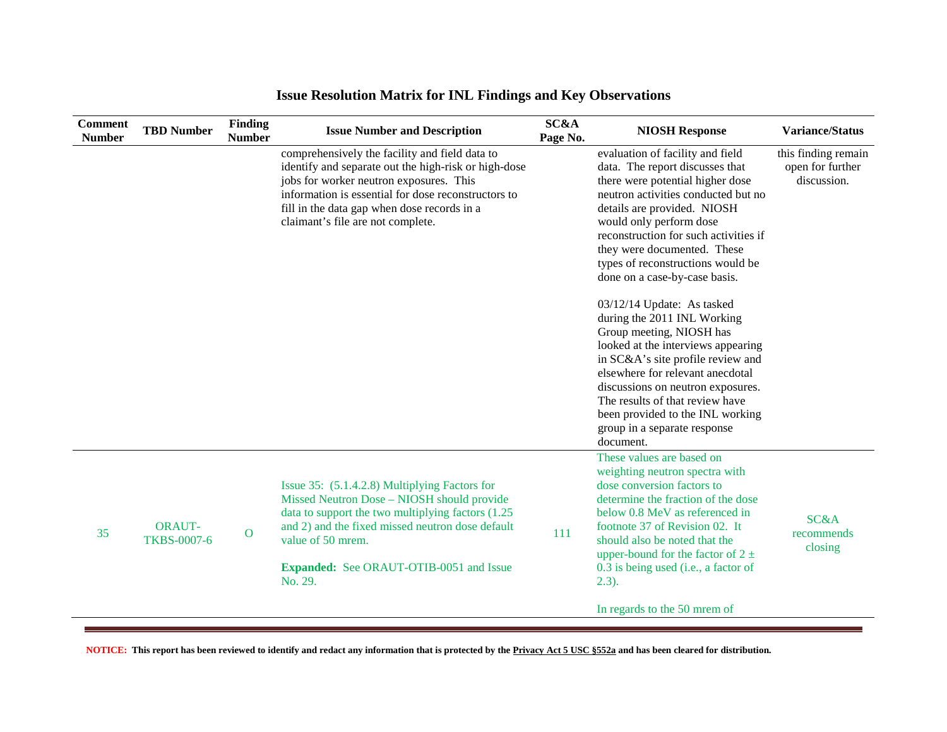| <b>Comment</b><br><b>Number</b> | <b>TBD Number</b>                   | Finding<br><b>Number</b> | <b>Issue Number and Description</b>                                                                                                                                                                                                                                                          | SC&A<br>Page No. | <b>NIOSH Response</b>                                                                                                                                                                                                                                                                                                                                                                                                                                                                                                                                                                                                                                                                                                   | <b>Variance/Status</b>                                 |
|---------------------------------|-------------------------------------|--------------------------|----------------------------------------------------------------------------------------------------------------------------------------------------------------------------------------------------------------------------------------------------------------------------------------------|------------------|-------------------------------------------------------------------------------------------------------------------------------------------------------------------------------------------------------------------------------------------------------------------------------------------------------------------------------------------------------------------------------------------------------------------------------------------------------------------------------------------------------------------------------------------------------------------------------------------------------------------------------------------------------------------------------------------------------------------------|--------------------------------------------------------|
|                                 |                                     |                          | comprehensively the facility and field data to<br>identify and separate out the high-risk or high-dose<br>jobs for worker neutron exposures. This<br>information is essential for dose reconstructors to<br>fill in the data gap when dose records in a<br>claimant's file are not complete. |                  | evaluation of facility and field<br>data. The report discusses that<br>there were potential higher dose<br>neutron activities conducted but no<br>details are provided. NIOSH<br>would only perform dose<br>reconstruction for such activities if<br>they were documented. These<br>types of reconstructions would be<br>done on a case-by-case basis.<br>03/12/14 Update: As tasked<br>during the 2011 INL Working<br>Group meeting, NIOSH has<br>looked at the interviews appearing<br>in SC&A's site profile review and<br>elsewhere for relevant anecdotal<br>discussions on neutron exposures.<br>The results of that review have<br>been provided to the INL working<br>group in a separate response<br>document. | this finding remain<br>open for further<br>discussion. |
| 35                              | <b>ORAUT-</b><br><b>TKBS-0007-6</b> | $\overline{O}$           | Issue 35: (5.1.4.2.8) Multiplying Factors for<br>Missed Neutron Dose - NIOSH should provide<br>data to support the two multiplying factors (1.25)<br>and 2) and the fixed missed neutron dose default<br>value of 50 mrem.<br><b>Expanded:</b> See ORAUT-OTIB-0051 and Issue<br>No. 29.      | <b>111</b>       | These values are based on<br>weighting neutron spectra with<br>dose conversion factors to<br>determine the fraction of the dose<br>below 0.8 MeV as referenced in<br>footnote 37 of Revision 02. It<br>should also be noted that the<br>upper-bound for the factor of $2 \pm$<br>0.3 is being used (i.e., a factor of<br>2.3).<br>In regards to the 50 mrem of                                                                                                                                                                                                                                                                                                                                                          | SC&A<br>recommends<br>closing                          |
|                                 |                                     |                          |                                                                                                                                                                                                                                                                                              |                  |                                                                                                                                                                                                                                                                                                                                                                                                                                                                                                                                                                                                                                                                                                                         |                                                        |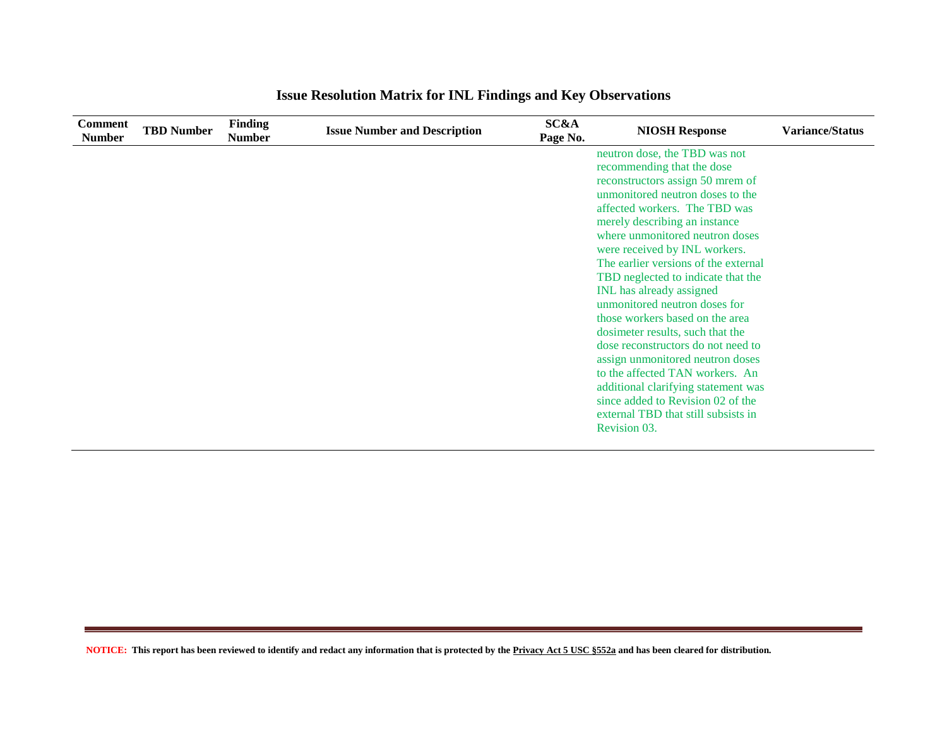| <b>Comment</b><br><b>Number</b> | <b>TBD Number</b> | <b>Finding</b><br><b>Number</b> | <b>Issue Number and Description</b> | SC&A<br>Page No. | <b>NIOSH Response</b>                | <b>Variance/Status</b> |
|---------------------------------|-------------------|---------------------------------|-------------------------------------|------------------|--------------------------------------|------------------------|
|                                 |                   |                                 |                                     |                  | neutron dose, the TBD was not        |                        |
|                                 |                   |                                 |                                     |                  | recommending that the dose           |                        |
|                                 |                   |                                 |                                     |                  | reconstructors assign 50 mrem of     |                        |
|                                 |                   |                                 |                                     |                  | unmonitored neutron doses to the     |                        |
|                                 |                   |                                 |                                     |                  | affected workers. The TBD was        |                        |
|                                 |                   |                                 |                                     |                  | merely describing an instance        |                        |
|                                 |                   |                                 |                                     |                  | where unmonitored neutron doses      |                        |
|                                 |                   |                                 |                                     |                  | were received by INL workers.        |                        |
|                                 |                   |                                 |                                     |                  | The earlier versions of the external |                        |
|                                 |                   |                                 |                                     |                  | TBD neglected to indicate that the   |                        |
|                                 |                   |                                 |                                     |                  | INL has already assigned             |                        |
|                                 |                   |                                 |                                     |                  | unmonitored neutron doses for        |                        |
|                                 |                   |                                 |                                     |                  | those workers based on the area      |                        |
|                                 |                   |                                 |                                     |                  | dosimeter results, such that the     |                        |
|                                 |                   |                                 |                                     |                  | dose reconstructors do not need to   |                        |
|                                 |                   |                                 |                                     |                  | assign unmonitored neutron doses     |                        |
|                                 |                   |                                 |                                     |                  | to the affected TAN workers. An      |                        |
|                                 |                   |                                 |                                     |                  | additional clarifying statement was  |                        |
|                                 |                   |                                 |                                     |                  | since added to Revision 02 of the    |                        |
|                                 |                   |                                 |                                     |                  | external TBD that still subsists in  |                        |
|                                 |                   |                                 |                                     |                  | Revision 03.                         |                        |
|                                 |                   |                                 |                                     |                  |                                      |                        |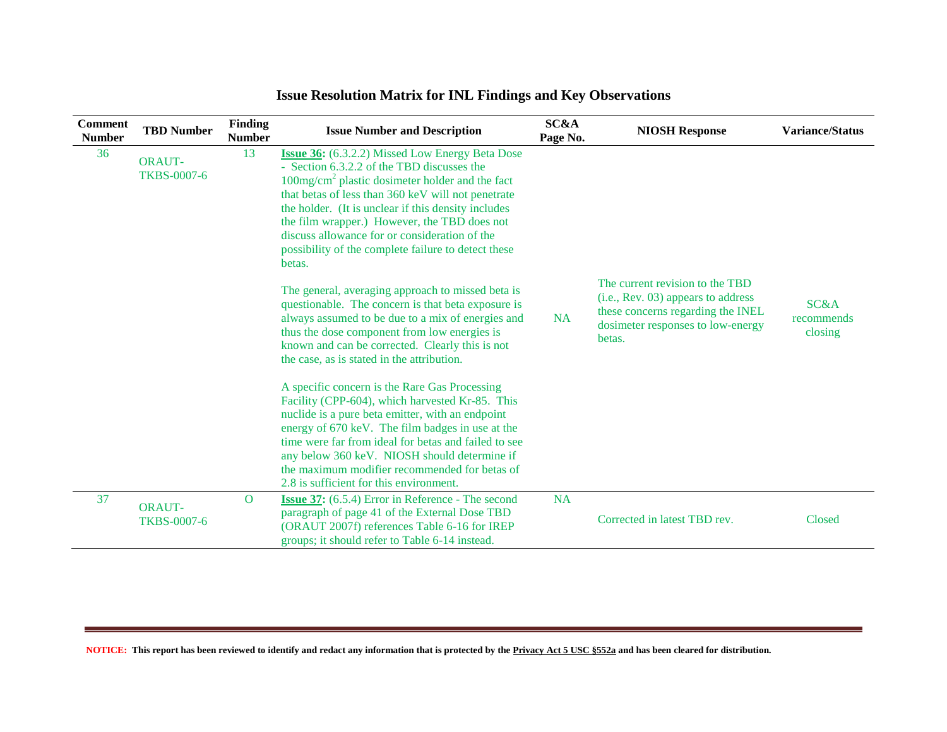| <b>Comment</b><br><b>Number</b> | <b>TBD Number</b>                   | <b>Finding</b><br><b>Number</b> | <b>Issue Number and Description</b>                                                                                                                                                                                                                                                                                                                                                                                                                                                                                                                                                                                                                                                                                                                                                                                                                                                                                                                                                                                                                                           | <b>SC&amp;A</b><br>Page No. | <b>NIOSH Response</b>                                                                                                                                     | <b>Variance/Status</b>                   |
|---------------------------------|-------------------------------------|---------------------------------|-------------------------------------------------------------------------------------------------------------------------------------------------------------------------------------------------------------------------------------------------------------------------------------------------------------------------------------------------------------------------------------------------------------------------------------------------------------------------------------------------------------------------------------------------------------------------------------------------------------------------------------------------------------------------------------------------------------------------------------------------------------------------------------------------------------------------------------------------------------------------------------------------------------------------------------------------------------------------------------------------------------------------------------------------------------------------------|-----------------------------|-----------------------------------------------------------------------------------------------------------------------------------------------------------|------------------------------------------|
| 36                              | <b>ORAUT-</b><br><b>TKBS-0007-6</b> | 13                              | <b>Issue 36:</b> (6.3.2.2) Missed Low Energy Beta Dose<br>- Section 6.3.2.2 of the TBD discusses the<br>$100mg/cm2$ plastic dosimeter holder and the fact<br>that betas of less than 360 keV will not penetrate<br>the holder. (It is unclear if this density includes<br>the film wrapper.) However, the TBD does not<br>discuss allowance for or consideration of the<br>possibility of the complete failure to detect these<br>betas.<br>The general, averaging approach to missed beta is<br>questionable. The concern is that beta exposure is<br>always assumed to be due to a mix of energies and<br>thus the dose component from low energies is<br>known and can be corrected. Clearly this is not<br>the case, as is stated in the attribution.<br>A specific concern is the Rare Gas Processing<br>Facility (CPP-604), which harvested Kr-85. This<br>nuclide is a pure beta emitter, with an endpoint<br>energy of 670 keV. The film badges in use at the<br>time were far from ideal for betas and failed to see<br>any below 360 keV. NIOSH should determine if | <b>NA</b>                   | The current revision to the TBD<br>(i.e., Rev. 03) appears to address<br>these concerns regarding the INEL<br>dosimeter responses to low-energy<br>betas. | <b>SC&amp;A</b><br>recommends<br>closing |
|                                 |                                     |                                 | the maximum modifier recommended for betas of<br>2.8 is sufficient for this environment.                                                                                                                                                                                                                                                                                                                                                                                                                                                                                                                                                                                                                                                                                                                                                                                                                                                                                                                                                                                      |                             |                                                                                                                                                           |                                          |
| 37                              | <b>ORAUT-</b><br><b>TKBS-0007-6</b> | $\mathbf{O}$                    | <b>Issue 37:</b> (6.5.4) Error in Reference - The second<br>paragraph of page 41 of the External Dose TBD<br>(ORAUT 2007f) references Table 6-16 for IREP<br>groups; it should refer to Table 6-14 instead.                                                                                                                                                                                                                                                                                                                                                                                                                                                                                                                                                                                                                                                                                                                                                                                                                                                                   | <b>NA</b>                   | Corrected in latest TBD rev.                                                                                                                              | Closed                                   |